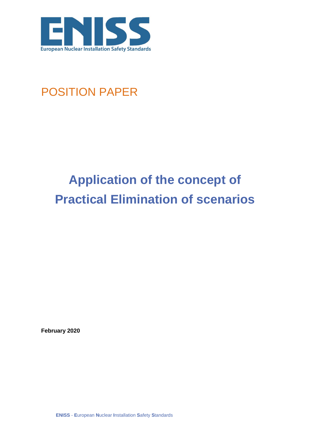

## POSITION PAPER

# **Application of the concept of Practical Elimination of scenarios**

**February 2020**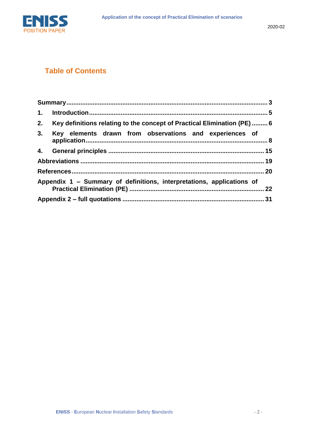

## **Table of Contents**

| 1. |                                                                          |    |
|----|--------------------------------------------------------------------------|----|
| 2. | Key definitions relating to the concept of Practical Elimination (PE)  6 |    |
| 3. | Key elements drawn from observations and experiences of                  |    |
|    |                                                                          |    |
|    |                                                                          |    |
|    |                                                                          |    |
|    | Appendix 1 – Summary of definitions, interpretations, applications of    | 22 |
|    |                                                                          |    |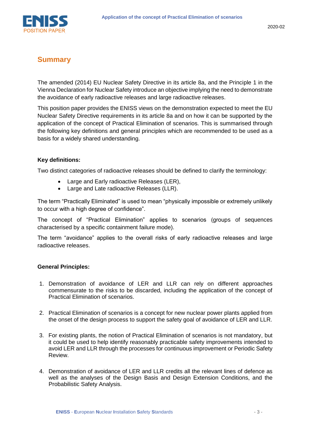

## <span id="page-2-0"></span>**Summary**

The amended (2014) EU Nuclear Safety Directive in its article 8a, and the Principle 1 in the Vienna Declaration for Nuclear Safety introduce an objective implying the need to demonstrate the avoidance of early radioactive releases and large radioactive releases.

This position paper provides the ENISS views on the demonstration expected to meet the EU Nuclear Safety Directive requirements in its article 8a and on how it can be supported by the application of the concept of Practical Elimination of scenarios. This is summarised through the following key definitions and general principles which are recommended to be used as a basis for a widely shared understanding.

#### **Key definitions:**

Two distinct categories of radioactive releases should be defined to clarify the terminology:

- Large and Early radioactive Releases (LER),
- Large and Late radioactive Releases (LLR).

The term "Practically Eliminated" is used to mean "physically impossible or extremely unlikely to occur with a high degree of confidence".

The concept of "Practical Elimination" applies to scenarios (groups of sequences characterised by a specific containment failure mode).

The term "avoidance" applies to the overall risks of early radioactive releases and large radioactive releases.

#### **General Principles:**

- 1. Demonstration of avoidance of LER and LLR can rely on different approaches commensurate to the risks to be discarded, including the application of the concept of Practical Elimination of scenarios.
- 2. Practical Elimination of scenarios is a concept for new nuclear power plants applied from the onset of the design process to support the safety goal of avoidance of LER and LLR.
- 3. For existing plants, the notion of Practical Elimination of scenarios is not mandatory, but it could be used to help identify reasonably practicable safety improvements intended to avoid LER and LLR through the processes for continuous improvement or Periodic Safety Review.
- 4. Demonstration of avoidance of LER and LLR credits all the relevant lines of defence as well as the analyses of the Design Basis and Design Extension Conditions, and the Probabilistic Safety Analysis.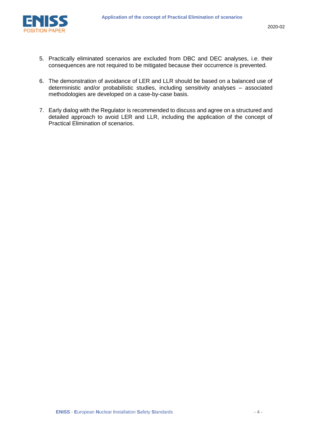

- 5. Practically eliminated scenarios are excluded from DBC and DEC analyses, i.e. their consequences are not required to be mitigated because their occurrence is prevented.
- 6. The demonstration of avoidance of LER and LLR should be based on a balanced use of deterministic and/or probabilistic studies, including sensitivity analyses – associated methodologies are developed on a case-by-case basis.
- 7. Early dialog with the Regulator is recommended to discuss and agree on a structured and detailed approach to avoid LER and LLR, including the application of the concept of Practical Elimination of scenarios.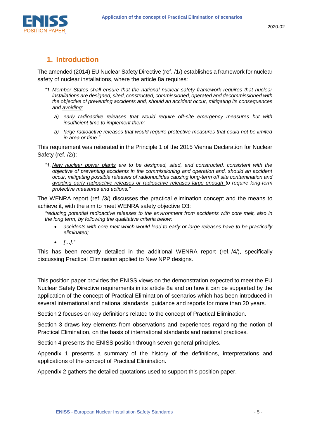

## <span id="page-4-0"></span>**1. Introduction**

The amended (2014) EU Nuclear Safety Directive (ref. [/1/\)](#page-19-1) establishes a framework for nuclear safety of nuclear installations, where the article 8a requires:

- *"1. Member States shall ensure that the national nuclear safety framework requires that nuclear installations are designed, sited, constructed, commissioned, operated and decommissioned with the objective of preventing accidents and, should an accident occur, mitigating its consequences and avoiding:* 
	- *a) early radioactive releases that would require off-site emergency measures but with insufficient time to implement them;*
	- *b) large radioactive releases that would require protective measures that could not be limited in area or time."*

This requirement was reiterated in the Principle 1 of the 2015 Vienna Declaration for Nuclear Safety (ref. [/2/\)](#page-19-2):

*"1. New nuclear power plants are to be designed, sited, and constructed, consistent with the objective of preventing accidents in the commissioning and operation and, should an accident occur, mitigating possible releases of radionuclides causing long-term off site contamination and avoiding early radioactive releases or radioactive releases large enough to require long-term protective measures and actions."*

The WENRA report (ref. [/3/\)](#page-19-3) discusses the practical elimination concept and the means to achieve it, with the aim to meet WENRA safety objective O3:

*"reducing potential radioactive releases to the environment from accidents with core melt, also in the long term, by following the qualitative criteria below:* 

- *accidents with core melt which would lead to early or large releases have to be practically eliminated;*
- $\bullet$   $[...]$ ."

This has been recently detailed in the additional WENRA report (ref. [/4/\)](#page-19-4), specifically discussing Practical Elimination applied to New NPP designs.

This position paper provides the ENISS views on the demonstration expected to meet the EU Nuclear Safety Directive requirements in its article 8a and on how it can be supported by the application of the concept of Practical Elimination of scenarios which has been introduced in several international and national standards, guidance and reports for more than 20 years.

Section 2 focuses on key definitions related to the concept of Practical Elimination.

Section 3 draws key elements from observations and experiences regarding the notion of Practical Elimination, on the basis of international standards and national practices.

Section 4 presents the ENISS position through seven general principles.

Appendix 1 presents a summary of the history of the definitions, interpretations and applications of the concept of Practical Elimination.

Appendix 2 gathers the detailed quotations used to support this position paper.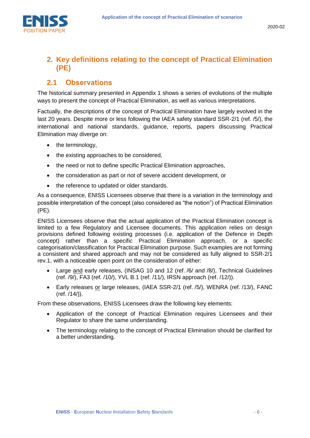

## <span id="page-5-0"></span>**2. Key definitions relating to the concept of Practical Elimination (PE)**

## **2.1 Observations**

The historical summary presented in Appendix 1 shows a series of evolutions of the multiple ways to present the concept of Practical Elimination, as well as various interpretations.

Factually, the descriptions of the concept of Practical Elimination have largely evolved in the last 20 years. Despite more or less following the IAEA safety standard SSR-2/1 (ref. [/5/\)](#page-19-5), the international and national standards, guidance, reports, papers discussing Practical Elimination may diverge on:

- $\bullet$  the terminology,
- the existing approaches to be considered,
- the need or not to define specific Practical Elimination approaches,
- the consideration as part or not of severe accident development, or
- the reference to updated or older standards.

As a consequence, ENISS Licensees observe that there is a variation in the terminology and possible interpretation of the concept (also considered as "the notion") of Practical Elimination (PE).

ENISS Licensees observe that the actual application of the Practical Elimination concept is limited to a few Regulatory and Licensee documents. This application relies on design provisions defined following existing processes (i.e. application of the Defence in Depth concept) rather than a specific Practical Elimination approach, or a specific categorisation/classification for Practical Elimination purpose. Such examples are not forming a consistent and shared approach and may not be considered as fully aligned to SSR-2/1 rev.1, with a noticeable open point on the consideration of either:

- Large and early releases, (INSAG 10 and 12 (ref. [/6/](#page-19-6) and [/8/\)](#page-19-7), Technical Guidelines (ref. [/9/\)](#page-19-8), FA3 (ref. [/10/\)](#page-19-9), YVL B.1 (ref. [/11/\)](#page-19-10), IRSN approach (ref. [/12/\)](#page-19-11)).
- Early releases or large releases, (IAEA SSR-2/1 (ref. [/5/\)](#page-19-5), WENRA (ref. [/13/\)](#page-19-12), FANC (ref. [/14/\)](#page-19-13)).

From these observations, ENISS Licensees draw the following key elements:

- Application of the concept of Practical Elimination requires Licensees and their Regulator to share the same understanding.
- The terminology relating to the concept of Practical Elimination should be clarified for a better understanding.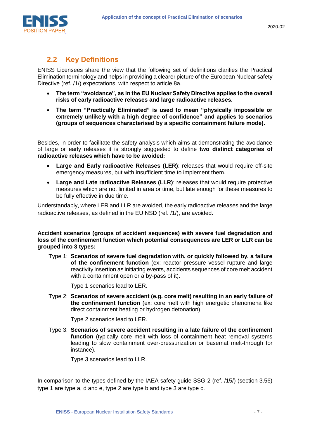

## **2.2 Key Definitions**

ENISS Licensees share the view that the following set of definitions clarifies the Practical Elimination terminology and helps in providing a clearer picture of the European Nuclear safety Directive (ref. [/1/\)](#page-19-1) expectations, with respect to article 8a.

- **The term "avoidance", as in the EU Nuclear Safety Directive applies to the overall risks of early radioactive releases and large radioactive releases.**
- **The term "Practically Eliminated" is used to mean "physically impossible or extremely unlikely with a high degree of confidence" and applies to scenarios (groups of sequences characterised by a specific containment failure mode).**

Besides, in order to facilitate the safety analysis which aims at demonstrating the avoidance of large or early releases it is strongly suggested to define **two distinct categories of radioactive releases which have to be avoided:**

- **Large and Early radioactive Releases (LER)**: releases that would require off-site emergency measures, but with insufficient time to implement them.
- **Large and Late radioactive Releases (LLR)**: releases that would require protective measures which are not limited in area or time, but late enough for these measures to be fully effective in due time.

Understandably, where LER and LLR are avoided, the early radioactive releases and the large radioactive releases, as defined in the EU NSD (ref. [/1/\)](#page-19-1), are avoided.

**Accident scenarios (groups of accident sequences) with severe fuel degradation and loss of the confinement function which potential consequences are LER or LLR can be grouped into 3 types:**

Type 1: **Scenarios of severe fuel degradation with, or quickly followed by, a failure of the confinement function** (ex: reactor pressure vessel rupture and large reactivity insertion as initiating events, accidents sequences of core melt accident with a containment open or a by-pass of it).

Type 1 scenarios lead to LER.

Type 2: **Scenarios of severe accident (e.g. core melt) resulting in an early failure of the confinement function** (ex: core melt with high energetic phenomena like direct containment heating or hydrogen detonation).

Type 2 scenarios lead to LER.

Type 3: **Scenarios of severe accident resulting in a late failure of the confinement function** (typically core melt with loss of containment heat removal systems leading to slow containment over-pressurization or basemat melt-through for instance).

Type 3 scenarios lead to LLR.

In comparison to the types defined by the IAEA safety guide SSG-2 (ref. [/15/\)](#page-19-14) (section 3.56) type 1 are type a, d and e, type 2 are type b and type 3 are type c.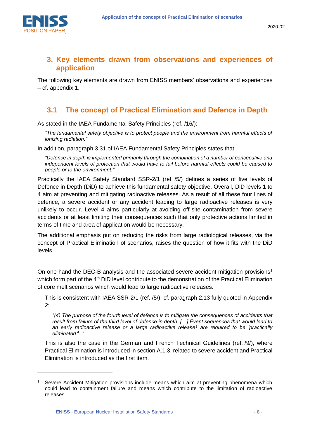

-

## <span id="page-7-0"></span>**3. Key elements drawn from observations and experiences of application**

The following key elements are drawn from ENISS members' observations and experiences – cf. appendix 1.

## <span id="page-7-1"></span>**3.1 The concept of Practical Elimination and Defence in Depth**

As stated in the IAEA Fundamental Safety Principles (ref. [/16/\)](#page-19-15):

*"The fundamental safety objective is to protect people and the environment from harmful effects of ionizing radiation."*

In addition, paragraph 3.31 of IAEA Fundamental Safety Principles states that:

*"Defence in depth is implemented primarily through the combination of a number of consecutive and independent levels of protection that would have to fail before harmful effects could be caused to people or to the environment."*

Practically the IAEA Safety Standard SSR-2/1 (ref. [/5/\)](#page-19-5) defines a series of five levels of Defence in Depth (DiD) to achieve this fundamental safety objective. Overall, DiD levels 1 to 4 aim at preventing and mitigating radioactive releases. As a result of all these four lines of defence, a severe accident or any accident leading to large radioactive releases is very unlikely to occur. Level 4 aims particularly at avoiding off-site contamination from severe accidents or at least limiting their consequences such that only protective actions limited in terms of time and area of application would be necessary.

The additional emphasis put on reducing the risks from large radiological releases, via the concept of Practical Elimination of scenarios, raises the question of how it fits with the DiD levels.

On one hand the DEC-B analysis and the associated severe accident mitigation provisions<sup>1</sup> which form part of the 4<sup>th</sup> DiD level contribute to the demonstration of the Practical Elimination of core melt scenarios which would lead to large radioactive releases.

This is consistent with IAEA SSR-2/1 (ref. [/5/\)](#page-19-5), cf. paragraph 2.13 fully quoted in Appendix  $2.$ 

*"(4) The purpose of the fourth level of defence is to mitigate the consequences of accidents that result from failure of the third level of defence in depth. […] Event sequences that would lead to an early radioactive release or a large radioactive release<sup>3</sup> are required to be 'practically eliminated'<sup>4</sup> . "*

This is also the case in the German and French Technical Guidelines (ref. [/9/\)](#page-19-8), where Practical Elimination is introduced in section A.1.3, related to severe accident and Practical Elimination is introduced as the first item.

<sup>1</sup> Severe Accident Mitigation provisions include means which aim at preventing phenomena which could lead to containment failure and means which contribute to the limitation of radioactive releases.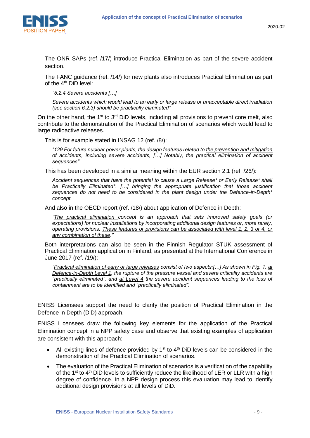

The ONR SAPs (ref. [/17/\)](#page-19-16) introduce Practical Elimination as part of the severe accident section.

The FANC guidance (ref. [/14/\)](#page-19-13) for new plants also introduces Practical Elimination as part of the  $4<sup>th</sup>$  DiD level:

*"5.2.4 Severe accidents […]*

*Severe accidents which would lead to an early or large release or unacceptable direct irradiation (see section 6.2.3) should be practically eliminated"*

On the other hand, the 1<sup>st</sup> to 3<sup>rd</sup> DiD levels, including all provisions to prevent core melt, also contribute to the demonstration of the Practical Elimination of scenarios which would lead to large radioactive releases.

This is for example stated in INSAG 12 (ref. [/8/\)](#page-19-7):

*"129 For future nuclear power plants, the design features related to the prevention and mitigation of accidents, including severe accidents, […] Notably, the practical elimination of accident sequences"*

This has been developed in a similar meaning within the EUR section 2.1 (ref. [/26/\)](#page-20-0):

*Accident sequences that have the potential to cause a Large Release\* or Early Release\* shall be Practically Eliminated\*. […] bringing the appropriate justification that those accident sequences do not need to be considered in the plant design under the Defence-in-Depth\* concept.* 

And also in the OECD report (ref. [/18/\)](#page-19-17) about application of Defence in Depth:

*"The practical elimination concept is an approach that sets improved safety goals (or expectations) for nuclear installations by incorporating additional design features or, more rarely, operating provisions. These features or provisions can be associated with level 1, 2, 3 or 4, or any combination of these."* 

Both interpretations can also be seen in the Finnish Regulator STUK assessment of Practical Elimination application in Finland, as presented at the International Conference in June 2017 (ref. [/19/\)](#page-19-18):

*"Practical elimination of early or large releases consist of two aspects:[…] As shown in Fig. 1. at Defence-in-Depth Level 1, the rupture of the pressure vessel and severe criticality accidents are "practically eliminated", and at Level 4 the severe accident sequences leading to the loss of containment are to be identified and "practically eliminated".*

ENISS Licensees support the need to clarify the position of Practical Elimination in the Defence in Depth (DiD) approach.

ENISS Licensees draw the following key elements for the application of the Practical Elimination concept in a NPP safety case and observe that existing examples of application are consistent with this approach:

- All existing lines of defence provided by  $1<sup>st</sup>$  to  $4<sup>th</sup>$  DiD levels can be considered in the demonstration of the Practical Elimination of scenarios.
- The evaluation of the Practical Elimination of scenarios is a verification of the capability of the 1<sup>st</sup> to 4<sup>th</sup> DiD levels to sufficiently reduce the likelihood of LER or LLR with a high degree of confidence. In a NPP design process this evaluation may lead to identify additional design provisions at all levels of DiD.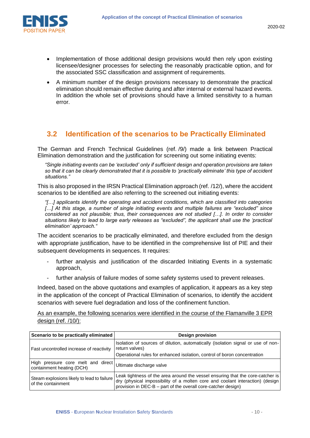

- 2020-02
- Implementation of those additional design provisions would then rely upon existing licensee/designer processes for selecting the reasonably practicable option, and for the associated SSC classification and assignment of requirements.
- A minimum number of the design provisions necessary to demonstrate the practical elimination should remain effective during and after internal or external hazard events. In addition the whole set of provisions should have a limited sensitivity to a human error.

## <span id="page-9-0"></span>**3.2 Identification of the scenarios to be Practically Eliminated**

The German and French Technical Guidelines (ref. [/9/\)](#page-19-8) made a link between Practical Elimination demonstration and the justification for screening out some initiating events:

*"Single initiating events can be 'excluded' only if sufficient design and operation provisions are taken so that it can be clearly demonstrated that it is possible to 'practically eliminate' this type of accident situations."*

This is also proposed in the IRSN Practical Elimination approach (ref. [/12/\)](#page-19-11), where the accident scenarios to be identified are also referring to the screened out initiating events:

*"[…] applicants identify the operating and accident conditions, which are classified into categories*  [...] At this stage, a number of single initiating events and multiple failures are "excluded" since *considered as not plausible; thus, their consequences are not studied […]. In order to consider situations likely to lead to large early releases as "excluded", the applicant shall use the 'practical elimination' approach."*

The accident scenarios to be practically eliminated, and therefore excluded from the design with appropriate justification, have to be identified in the comprehensive list of PIE and their subsequent developments in sequences. It requires:

- further analysis and justification of the discarded Initiating Events in a systematic approach,
- further analysis of failure modes of some safety systems used to prevent releases.

Indeed, based on the above quotations and examples of application, it appears as a key step in the application of the concept of Practical Elimination of scenarios, to identify the accident scenarios with severe fuel degradation and loss of the confinement function.

As an example, the following scenarios were identified in the course of the Flamanville 3 EPR design (ref. [/10/\)](#page-19-9):

| Scenario to be practically eliminated                            | <b>Design provision</b>                                                                                                                                                                                                          |
|------------------------------------------------------------------|----------------------------------------------------------------------------------------------------------------------------------------------------------------------------------------------------------------------------------|
| Fast uncontrolled increase of reactivity                         | Isolation of sources of dilution, automatically (isolation signal or use of non-<br>return valves)                                                                                                                               |
|                                                                  | Operational rules for enhanced isolation, control of boron concentration                                                                                                                                                         |
| High pressure core melt and direct<br>containment heating (DCH)  | Ultimate discharge valve                                                                                                                                                                                                         |
| Steam explosions likely to lead to failure<br>of the containment | Leak tightness of the area around the vessel ensuring that the core-catcher is<br>dry (physical impossibility of a molten core and coolant interaction) (design<br>provision in DEC-B - part of the overall core-catcher design) |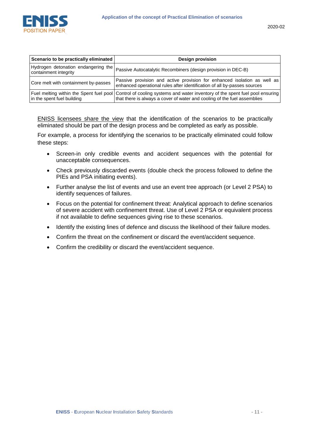

| Scenario to be practically eliminated                        | <b>Design provision</b>                                                                                                                                                                            |
|--------------------------------------------------------------|----------------------------------------------------------------------------------------------------------------------------------------------------------------------------------------------------|
| Hydrogen detonation endangering the<br>containment integrity | Passive Autocatalytic Recombiners (design provision in DEC-B)                                                                                                                                      |
| Core melt with containment by-passes                         | Passive provision and active provision for enhanced isolation as well as<br>enhanced operational rules after identification of all by-passes sources                                               |
| in the spent fuel building                                   | Fuel melting within the Spent fuel pool Control of cooling systems and water inventory of the spent fuel pool ensuring<br>that there is always a cover of water and cooling of the fuel assemblies |

ENISS licensees share the view that the identification of the scenarios to be practically eliminated should be part of the design process and be completed as early as possible.

For example, a process for identifying the scenarios to be practically eliminated could follow these steps:

- Screen-in only credible events and accident sequences with the potential for unacceptable consequences.
- Check previously discarded events (double check the process followed to define the PIEs and PSA initiating events).
- Further analyse the list of events and use an event tree approach (or Level 2 PSA) to identify sequences of failures.
- Focus on the potential for confinement threat: Analytical approach to define scenarios of severe accident with confinement threat. Use of Level 2 PSA or equivalent process if not available to define sequences giving rise to these scenarios.
- Identify the existing lines of defence and discuss the likelihood of their failure modes.
- Confirm the threat on the confinement or discard the event/accident sequence.
- Confirm the credibility or discard the event/accident sequence.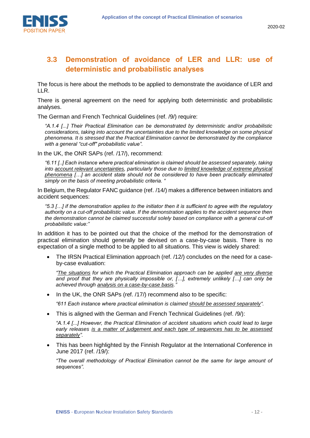

## <span id="page-11-0"></span>**3.3 Demonstration of avoidance of LER and LLR: use of deterministic and probabilistic analyses**

The focus is here about the methods to be applied to demonstrate the avoidance of LER and LLR.

There is general agreement on the need for applying both deterministic and probabilistic analyses.

The German and French Technical Guidelines (ref. [/9/\)](#page-19-8) require:

*"A.1.4 [...] Their Practical Elimination can be demonstrated by deterministic and/or probabilistic considerations, taking into account the uncertainties due to the limited knowledge on some physical phenomena. It is stressed that the Practical Elimination cannot be demonstrated by the compliance with a general "cut-off" probabilistic value".*

In the UK, the ONR SAPs (ref. [/17/\)](#page-19-16), recommend:

*"6.11 [..] Each instance where practical elimination is claimed should be assessed separately, taking into account relevant uncertainties, particularly those due to limited knowledge of extreme physical phenomena […] an accident state should not be considered to have been practically eliminated simply on the basis of meeting probabilistic criteria. "*

In Belgium, the Regulator FANC guidance (ref. [/14/\)](#page-19-13) makes a difference between initiators and accident sequences:

*"5.3 […] if the demonstration applies to the initiator then it is sufficient to agree with the regulatory authority on a cut-off probabilistic value. If the demonstration applies to the accident sequence then the demonstration cannot be claimed successful solely based on compliance with a general cut-off probabilistic value:"*

In addition it has to be pointed out that the choice of the method for the demonstration of practical elimination should generally be devised on a case-by-case basis. There is no expectation of a single method to be applied to all situations. This view is widely shared:

 The IRSN Practical Elimination approach (ref. [/12/\)](#page-19-11) concludes on the need for a caseby-case evaluation:

*"The situations for which the Practical Elimination approach can be applied are very diverse and proof that they are physically impossible or, […], extremely unlikely […] can only be achieved through analysis on a case-by-case basis."*

• In the UK, the ONR SAPs (ref. [/17/\)](#page-19-16) recommend also to be specific:

*"611 Each instance where practical elimination is claimed should be assessed separately".*

This is aligned with the German and French Technical Guidelines (ref. [/9/\)](#page-19-8):

*"A.1.4 [...] However, the Practical Elimination of accident situations which could lead to large early releases is a matter of judgement and each type of sequences has to be assessed separately".*

 This has been highlighted by the Finnish Regulator at the International Conference in June 2017 (ref. [/19/\)](#page-19-18):

*"The overall methodology of Practical Elimination cannot be the same for large amount of sequences".*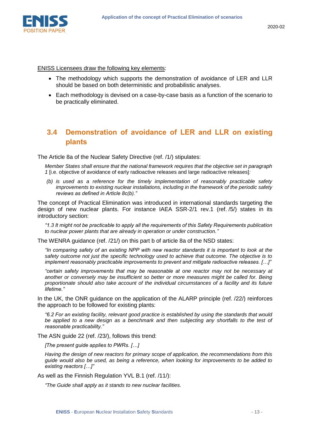

ENISS Licensees draw the following key elements:

- The methodology which supports the demonstration of avoidance of LER and LLR should be based on both deterministic and probabilistic analyses.
- Each methodology is devised on a case-by-case basis as a function of the scenario to be practically eliminated.

## <span id="page-12-0"></span>**3.4 Demonstration of avoidance of LER and LLR on existing plants**

The Article 8a of the Nuclear Safety Directive (ref. [/1/\)](#page-19-1) stipulates:

*Member States shall ensure that the national framework requires that the objective set in paragraph 1* [i.e. objective of avoidance of early radioactive releases and large radioactive releases]*:* 

*(b) is used as a reference for the timely implementation of reasonably practicable safety improvements to existing nuclear installations, including in the framework of the periodic safety reviews as defined in Article 8c(b)."*

The concept of Practical Elimination was introduced in international standards targeting the design of new nuclear plants. For instance IAEA SSR-2/1 rev.1 (ref. [/5/\)](#page-19-5) states in its introductory section:

*"1.3 It might not be practicable to apply all the requirements of this Safety Requirements publication to nuclear power plants that are already in operation or under construction."*

The WENRA guidance (ref. [/21/\)](#page-20-1) on this part b of article 8a of the NSD states:

*"In comparing safety of an existing NPP with new reactor standards it is important to look at the safety outcome not just the specific technology used to achieve that outcome. The objective is to implement reasonably practicable improvements to prevent and mitigate radioactive releases. […]"*

*"certain safety improvements that may be reasonable at one reactor may not be necessary at another or conversely may be insufficient so better or more measures might be called for. Being proportionate should also take account of the individual circumstances of a facility and its future lifetime."*

In the UK, the ONR guidance on the application of the ALARP principle (ref. [/22/\)](#page-20-2) reinforces the approach to be followed for existing plants:

*"6.2 For an existing facility, relevant good practice is established by using the standards that would*  be applied to a new design as a benchmark and then subjecting any shortfalls to the test of *reasonable practicability."*

The ASN guide 22 (ref. [/23/\)](#page-20-3), follows this trend:

*[The present guide applies to PWRs. […]*

*Having the design of new reactors for primary scope of application, the recommendations from this guide would also be used, as being a reference, when looking for improvements to be added to existing reactors […]"*

As well as the Finnish Regulation YVL B.1 (ref. [/11/\)](#page-19-10):

*"The Guide shall apply as it stands to new nuclear facilities.*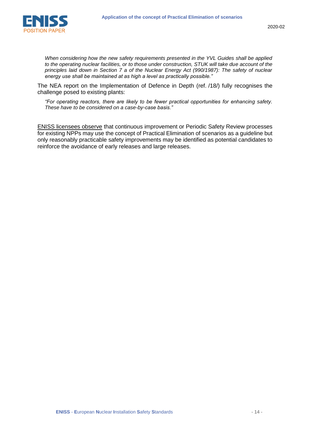

*When considering how the new safety requirements presented in the YVL Guides shall be applied to the operating nuclear facilities, or to those under construction, STUK will take due account of the principles laid down in Section 7 a of the Nuclear Energy Act (990/1987): The safety of nuclear energy use shall be maintained at as high a level as practically possible."*

The NEA report on the Implementation of Defence in Depth (ref. [/18/\)](#page-19-19) fully recognises the challenge posed to existing plants:

*"For operating reactors, there are likely to be fewer practical opportunities for enhancing safety. These have to be considered on a case-by-case basis."*

ENISS licensees observe that continuous improvement or Periodic Safety Review processes for existing NPPs may use the concept of Practical Elimination of scenarios as a guideline but only reasonably practicable safety improvements may be identified as potential candidates to reinforce the avoidance of early releases and large releases.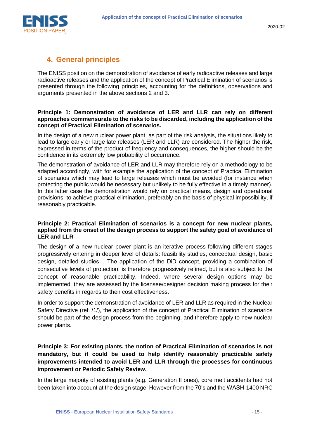

## <span id="page-14-0"></span>**4. General principles**

The ENISS position on the demonstration of avoidance of early radioactive releases and large radioactive releases and the application of the concept of Practical Elimination of scenarios is presented through the following principles, accounting for the definitions, observations and arguments presented in the above sections 2 and 3.

#### **Principle 1: Demonstration of avoidance of LER and LLR can rely on different approaches commensurate to the risks to be discarded, including the application of the concept of Practical Elimination of scenarios.**

In the design of a new nuclear power plant, as part of the risk analysis, the situations likely to lead to large early or large late releases (LER and LLR) are considered. The higher the risk, expressed in terms of the product of frequency and consequences, the higher should be the confidence in its extremely low probability of occurrence.

The demonstration of avoidance of LER and LLR may therefore rely on a methodology to be adapted accordingly, with for example the application of the concept of Practical Elimination of scenarios which may lead to large releases which must be avoided (for instance when protecting the public would be necessary but unlikely to be fully effective in a timely manner). In this latter case the demonstration would rely on practical means, design and operational provisions, to achieve practical elimination, preferably on the basis of physical impossibility, if reasonably practicable.

#### **Principle 2: Practical Elimination of scenarios is a concept for new nuclear plants, applied from the onset of the design process to support the safety goal of avoidance of LER and LLR**

The design of a new nuclear power plant is an iterative process following different stages progressively entering in deeper level of details: feasibility studies, conceptual design, basic design, detailed studies… The application of the DiD concept, providing a combination of consecutive levels of protection, is therefore progressively refined, but is also subject to the concept of reasonable practicability. Indeed, where several design options may be implemented, they are assessed by the licensee/designer decision making process for their safety benefits in regards to their cost effectiveness.

In order to support the demonstration of avoidance of LER and LLR as required in the Nuclear Safety Directive (ref. [/1/\)](#page-19-1), the application of the concept of Practical Elimination of scenarios should be part of the design process from the beginning, and therefore apply to new nuclear power plants.

#### **Principle 3: For existing plants, the notion of Practical Elimination of scenarios is not mandatory, but it could be used to help identify reasonably practicable safety improvements intended to avoid LER and LLR through the processes for continuous improvement or Periodic Safety Review.**

In the large majority of existing plants (e.g. Generation II ones), core melt accidents had not been taken into account at the design stage. However from the 70's and the WASH-1400 NRC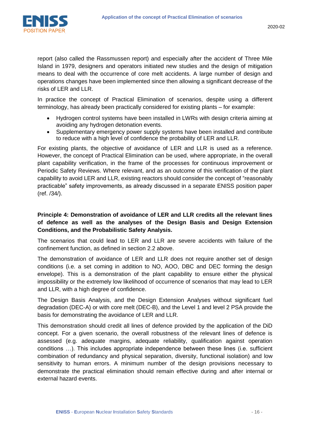

report (also called the Rassmussen report) and especially after the accident of Three Mile Island in 1979, designers and operators initiated new studies and the design of mitigation means to deal with the occurrence of core melt accidents. A large number of design and operations changes have been implemented since then allowing a significant decrease of the risks of LER and LLR.

In practice the concept of Practical Elimination of scenarios, despite using a different terminology, has already been practically considered for existing plants – for example:

- Hydrogen control systems have been installed in LWRs with design criteria aiming at avoiding any hydrogen detonation events.
- Supplementary emergency power supply systems have been installed and contribute to reduce with a high level of confidence the probability of LER and LLR.

For existing plants, the objective of avoidance of LER and LLR is used as a reference. However, the concept of Practical Elimination can be used, where appropriate, in the overall plant capability verification, in the frame of the processes for continuous improvement or Periodic Safety Reviews. Where relevant, and as an outcome of this verification of the plant capability to avoid LER and LLR, existing reactors should consider the concept of "reasonably practicable" safety improvements, as already discussed in a separate ENISS position paper (ref. [/34/\)](#page-20-4).

#### **Principle 4: Demonstration of avoidance of LER and LLR credits all the relevant lines of defence as well as the analyses of the Design Basis and Design Extension Conditions, and the Probabilistic Safety Analysis.**

The scenarios that could lead to LER and LLR are severe accidents with failure of the confinement function, as defined in section 2.2 above.

The demonstration of avoidance of LER and LLR does not require another set of design conditions (i.e. a set coming in addition to NO, AOO, DBC and DEC forming the design envelope). This is a demonstration of the plant capability to ensure either the physical impossibility or the extremely low likelihood of occurrence of scenarios that may lead to LER and LLR, with a high degree of confidence.

The Design Basis Analysis, and the Design Extension Analyses without significant fuel degradation (DEC-A) or with core melt (DEC-B), and the Level 1 and level 2 PSA provide the basis for demonstrating the avoidance of LER and LLR.

This demonstration should credit all lines of defence provided by the application of the DiD concept. For a given scenario, the overall robustness of the relevant lines of defence is assessed (e.g. adequate margins, adequate reliability, qualification against operation conditions …). This includes appropriate independence between these lines (i.e. sufficient combination of redundancy and physical separation, diversity, functional isolation) and low sensitivity to human errors. A minimum number of the design provisions necessary to demonstrate the practical elimination should remain effective during and after internal or external hazard events.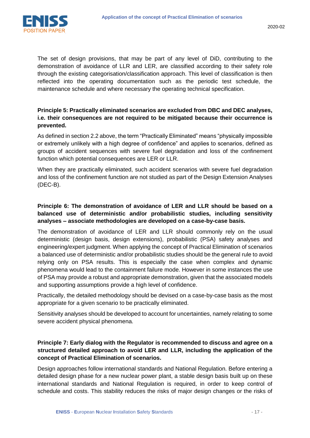

The set of design provisions, that may be part of any level of DiD, contributing to the demonstration of avoidance of LLR and LER, are classified according to their safety role through the existing categorisation/classification approach. This level of classification is then reflected into the operating documentation such as the periodic test schedule, the maintenance schedule and where necessary the operating technical specification.

#### **Principle 5: Practically eliminated scenarios are excluded from DBC and DEC analyses, i.e. their consequences are not required to be mitigated because their occurrence is prevented.**

As defined in section 2.2 above, the term "Practically Eliminated" means "physically impossible or extremely unlikely with a high degree of confidence" and applies to scenarios, defined as groups of accident sequences with severe fuel degradation and loss of the confinement function which potential consequences are LER or LLR.

When they are practically eliminated, such accident scenarios with severe fuel degradation and loss of the confinement function are not studied as part of the Design Extension Analyses (DEC-B).

#### **Principle 6: The demonstration of avoidance of LER and LLR should be based on a balanced use of deterministic and/or probabilistic studies, including sensitivity analyses – associate methodologies are developed on a case-by-case basis.**

The demonstration of avoidance of LER and LLR should commonly rely on the usual deterministic (design basis, design extensions), probabilistic (PSA) safety analyses and engineering/expert judgment. When applying the concept of Practical Elimination of scenarios a balanced use of deterministic and/or probabilistic studies should be the general rule to avoid relying only on PSA results. This is especially the case when complex and dynamic phenomena would lead to the containment failure mode. However in some instances the use of PSA may provide a robust and appropriate demonstration, given that the associated models and supporting assumptions provide a high level of confidence.

Practically, the detailed methodology should be devised on a case-by-case basis as the most appropriate for a given scenario to be practically eliminated.

Sensitivity analyses should be developed to account for uncertainties, namely relating to some severe accident physical phenomena.

#### **Principle 7: Early dialog with the Regulator is recommended to discuss and agree on a structured detailed approach to avoid LER and LLR, including the application of the concept of Practical Elimination of scenarios.**

Design approaches follow international standards and National Regulation. Before entering a detailed design phase for a new nuclear power plant, a stable design basis built up on these international standards and National Regulation is required, in order to keep control of schedule and costs. This stability reduces the risks of major design changes or the risks of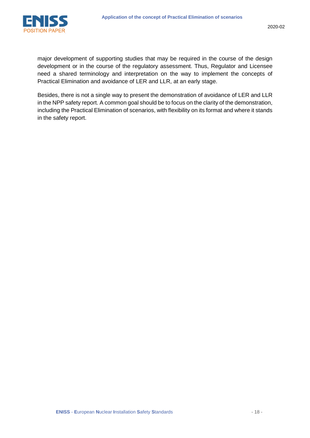

major development of supporting studies that may be required in the course of the design development or in the course of the regulatory assessment. Thus, Regulator and Licensee need a shared terminology and interpretation on the way to implement the concepts of Practical Elimination and avoidance of LER and LLR, at an early stage.

Besides, there is not a single way to present the demonstration of avoidance of LER and LLR in the NPP safety report. A common goal should be to focus on the clarity of the demonstration, including the Practical Elimination of scenarios, with flexibility on its format and where it stands in the safety report.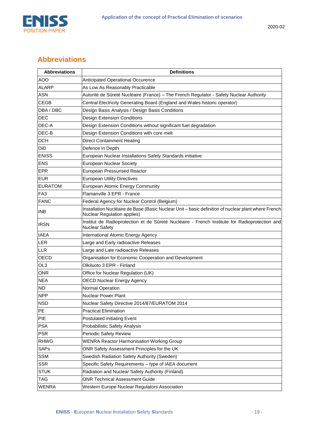

## <span id="page-18-0"></span>**Abbreviations**

| <b>Abbreviations</b> | <b>Definitions</b>                                                                                                                        |
|----------------------|-------------------------------------------------------------------------------------------------------------------------------------------|
| AOO                  | <b>Anticipated Operational Occurence</b>                                                                                                  |
| <b>ALARP</b>         | As Low As Reasonably Practicable                                                                                                          |
| <b>ASN</b>           | Autorité de Sûreté Nucléaire (France) - The French Regulator - Safety Nuclear Authority                                                   |
| <b>CEGB</b>          | Central Electricity Generating Board (England and Wales historic operator)                                                                |
| DBA / DBC            | Design Basis Analysis / Design Basis Conditions                                                                                           |
| <b>DEC</b>           | <b>Design Extension Conditions</b>                                                                                                        |
| DEC-A                | Design Extension Conditions without significant fuel degradation                                                                          |
| DEC-B                | Design Extension Conditions with core melt                                                                                                |
| <b>DCH</b>           | <b>Direct Containment Heating</b>                                                                                                         |
| <b>DiD</b>           | Defence in Depth                                                                                                                          |
| <b>ENISS</b>         | European Nuclear Installations Safety Standards initiative                                                                                |
| <b>ENS</b>           | <b>European Nuclear Society</b>                                                                                                           |
| <b>EPR</b>           | <b>European Pressurised Reactor</b>                                                                                                       |
| <b>EUR</b>           | <b>European Utility Directives</b>                                                                                                        |
| <b>EURATOM</b>       | <b>European Atomic Energy Community</b>                                                                                                   |
| FA <sub>3</sub>      | Flamanville 3 EPR - France                                                                                                                |
| <b>FANC</b>          | Federal Agency for Nuclear Control (Belgium)                                                                                              |
| <b>INB</b>           | Installation Nucléaire de Base (Basic Nuclear Unit - basic definition of nuclear plant where French<br><b>Nuclear Regulation applies)</b> |
| <b>IRSN</b>          | Institut de Radioprotection et de Sûreté Nucléaire - French Institute for Radioprotection and<br><b>Nuclear Safety</b>                    |
| <b>IAEA</b>          | International Atomic Energy Agency                                                                                                        |
| <b>LER</b>           | Large and Early radioactive Releases                                                                                                      |
| <b>LLR</b>           | Large and Late radioactive Releases                                                                                                       |
| <b>OECD</b>          | Organisation for Economic Cooperation and Development                                                                                     |
| OL <sub>3</sub>      | Olkiluoto 3 EPR - Finland                                                                                                                 |
| <b>ONR</b>           | Office for Nuclear Regulation (UK)                                                                                                        |
| <b>NEA</b>           | <b>OECD Nuclear Energy Agency</b>                                                                                                         |
| <b>NO</b>            | Normal Operation                                                                                                                          |
| <b>NPP</b>           | <b>Nuclear Power Plant</b>                                                                                                                |
| <b>NSD</b>           | Nuclear Safety Directive 2014/87/EURATOM 2014                                                                                             |
| PE                   | <b>Practical Elimination</b>                                                                                                              |
| <b>PIE</b>           | <b>Postulated initiating Event</b>                                                                                                        |
| <b>PSA</b>           | Probabilistic Safety Analysis                                                                                                             |
| <b>PSR</b>           | Periodic Safety Review                                                                                                                    |
| <b>RHWG</b>          | <b>WENRA Reactor Harmonisation Working Group</b>                                                                                          |
| SAPs                 | ONR Safety Assessment Principles for the UK                                                                                               |
| <b>SSM</b>           | Swedish Radiation Safety Authority (Sweden)                                                                                               |
| <b>SSR</b>           | Specific Safety Requirements - type of IAEA document                                                                                      |
| <b>STUK</b>          | Radiation and Nuclear Safety Authority (Finland)                                                                                          |
| TAG                  | <b>ONR Technical Assessment Guide</b>                                                                                                     |
| <b>WENRA</b>         | Western Europe Nuclear Regulators Association                                                                                             |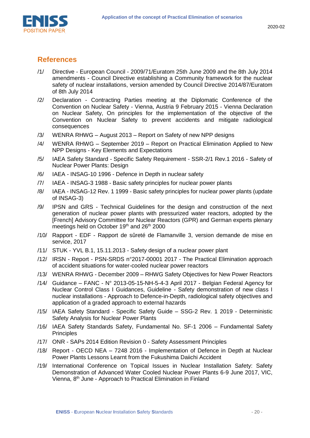

## <span id="page-19-0"></span>**References**

- <span id="page-19-1"></span>/1/ Directive - European Council - 2009/71/Euratom 25th June 2009 and the 8th July 2014 amendments - Council Directive establishing a Community framework for the nuclear safety of nuclear installations, version amended by Council Directive 2014/87/Euratom of 8th July 2014
- <span id="page-19-2"></span>/2/ Declaration - Contracting Parties meeting at the Diplomatic Conference of the Convention on Nuclear Safety - Vienna, Austria 9 February 2015 - Vienna Declaration on Nuclear Safety, On principles for the implementation of the objective of the Convention on Nuclear Safety to prevent accidents and mitigate radiological consequences
- <span id="page-19-3"></span>/3/ WENRA RHWG – August 2013 – Report on Safety of new NPP designs
- <span id="page-19-4"></span>/4/ WENRA RHWG – September 2019 – Report on Practical Elimination Applied to New NPP Designs - Key Elements and Expectations
- <span id="page-19-5"></span>/5/ IAEA Safety Standard - Specific Safety Requirement - SSR-2/1 Rev.1 2016 - Safety of Nuclear Power Plants: Design
- <span id="page-19-6"></span>/6/ IAEA - INSAG-10 1996 - Defence in Depth in nuclear safety
- <span id="page-19-20"></span>/7/ IAEA - INSAG-3 1988 - Basic safety principles for nuclear power plants
- <span id="page-19-7"></span>/8/ IAEA - INSAG-12 Rev. 1 1999 - Basic safety principles for nuclear power plants (update of INSAG-3)
- <span id="page-19-8"></span>/9/ IPSN and GRS - Technical Guidelines for the design and construction of the next generation of nuclear power plants with pressurized water reactors, adopted by the [French] Advisory Committee for Nuclear Reactors (GPR) and German experts plenary meetings held on October 19<sup>th</sup> and 26<sup>th</sup> 2000
- <span id="page-19-9"></span>/10/ Rapport - EDF - Rapport de sûreté de Flamanville 3, version demande de mise en service, 2017
- <span id="page-19-10"></span>/11/ STUK - YVL B.1, 15.11.2013 - Safety design of a nuclear power plant
- <span id="page-19-11"></span>/12/ IRSN - Report - PSN-SRDS n°2017-00001 2017 - The Practical Elimination approach of accident situations for water-cooled nuclear power reactors
- <span id="page-19-12"></span>/13/ WENRA RHWG - December 2009 – RHWG Safety Objectives for New Power Reactors
- <span id="page-19-13"></span>/14/ Guidance – FANC - N° 2013-05-15-NH-5-4-3 April 2017 - Belgian Federal Agency for Nuclear Control Class I Guidances, Guideline - Safety demonstration of new class I nuclear installations - Approach to Defence-in-Depth, radiological safety objectives and application of a graded approach to external hazards
- <span id="page-19-14"></span>/15/ IAEA Safety Standard - Specific Safety Guide – SSG-2 Rev. 1 2019 - Deterministic Safety Analysis for Nuclear Power Plants
- <span id="page-19-15"></span>/16/ IAEA Safety Standards Safety, Fundamental No. SF-1 2006 – Fundamental Safety **Principles**
- <span id="page-19-16"></span>/17/ ONR - SAPs 2014 Edition Revision 0 - Safety Assessment Principles
- <span id="page-19-19"></span><span id="page-19-17"></span>/18/ Report - OECD NEA – 7248 2016 - Implementation of Defence in Depth at Nuclear Power Plants Lessons Learnt from the Fukushima Daiichi Accident
- <span id="page-19-18"></span>/19/ International Conference on Topical Issues in Nuclear Installation Safety: Safety Demonstration of Advanced Water Cooled Nuclear Power Plants 6-9 June 2017, VIC, Vienna, 8th June - Approach to Practical Elimination in Finland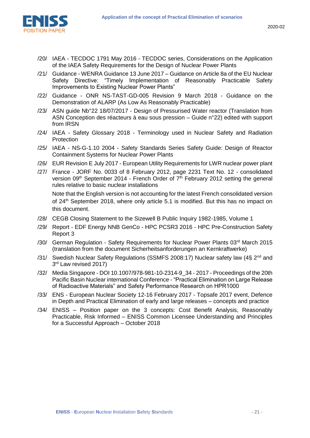

- <span id="page-20-9"></span>/20/ IAEA - TECDOC 1791 May 2016 - TECDOC series, Considerations on the Application of the IAEA Safety Requirements for the Design of Nuclear Power Plants
- <span id="page-20-1"></span>/21/ Guidance - WENRA Guidance 13 June 2017 – Guidance on Article 8a of the EU Nuclear Safety Directive: "Timely Implementation of Reasonably Practicable Safety Improvements to Existing Nuclear Power Plants"
- <span id="page-20-2"></span>/22/ Guidance - ONR NS-TAST-GD-005 Revision 9 March 2018 - Guidance on the Demonstration of ALARP (As Low As Reasonably Practicable)
- <span id="page-20-3"></span>/23/ ASN guide Nb°22 18/07/2017 - Design of Pressurised Water reactor (Translation from ASN Conception des réacteurs à eau sous pression – Guide n°22) edited with support from IRSN
- <span id="page-20-5"></span>/24/ IAEA - Safety Glossary 2018 - Terminology used in Nuclear Safety and Radiation Protection
- <span id="page-20-6"></span>/25/ IAEA - NS-G-1.10 2004 - Safety Standards Series Safety Guide: Design of Reactor Containment Systems for Nuclear Power Plants
- <span id="page-20-0"></span>/26/ EUR Revision E July 2017 - European Utility Requirements for LWR nuclear power plant
- <span id="page-20-7"></span>/27/ France - JORF No. 0033 of 8 February 2012, page 2231 Text No. 12 - consolidated version 09<sup>th</sup> September 2014 - French Order of  $7<sup>th</sup>$  February 2012 setting the general rules relative to basic nuclear installations

Note that the English version is not accounting for the latest French consolidated version of 24<sup>th</sup> September 2018, where only article 5.1 is modified. But this has no impact on this document.

- <span id="page-20-12"></span>/28/ CEGB Closing Statement to the Sizewell B Public Inquiry 1982-1985, Volume 1
- <span id="page-20-13"></span>/29/ Report - EDF Energy NNB GenCo - HPC PCSR3 2016 - HPC Pre-Construction Safety Report 3
- <span id="page-20-11"></span>/30/ German Regulation - Safety Requirements for Nuclear Power Plants 03rd March 2015 (translation from the document Sicherheitsanforderungen an Kernkraftwerke)
- <span id="page-20-8"></span>/31/ Swedish Nuclear Safety Regulations (SSMFS 2008:17) Nuclear safety law (4§ 2<sup>nd</sup> and 3<sup>rd</sup> Law revised 2017)
- /32/ Media Singapore DOI 10.1007/978-981-10-2314-9\_34 2017 Proceedings of the 20th Pacific Basin Nuclear international Conference - "Practical Elimination on Large Release of Radioactive Materials" and Safety Performance Research on HPR1000
- <span id="page-20-10"></span>/33/ ENS - European Nuclear Society 12-16 February 2017 - Topsafe 2017 event, Defence in Depth and Practical Elimination of early and large releases – concepts and practice
- <span id="page-20-4"></span>/34/ ENISS – Position paper on the 3 concepts: Cost Benefit Analysis, Reasonably Practicable, Risk Informed – ENISS Common Licensee Understanding and Principles for a Successful Approach – October 2018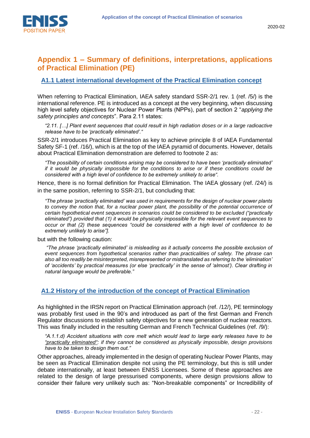

## <span id="page-21-0"></span>**Appendix 1 – Summary of definitions, interpretations, applications of Practical Elimination (PE)**

#### **A1.1 Latest international development of the Practical Elimination concept**

When referring to Practical Elimination, IAEA safety standard SSR-2/1 rev. 1 (ref. [/5/\)](#page-19-5) is the international reference. PE is introduced as a concept at the very beginning, when discussing high level safety objectives for Nuclear Power Plants (NPPs), part of section 2 "*applying the safety principles and concepts*". Para 2.11 states:

*"2.11. […] Plant event sequences that could result in high radiation doses or in a large radioactive release have to be 'practically eliminated'."*

SSR-2/1 introduces Practical Elimination as key to achieve principle 8 of IAEA Fundamental Safety SF-1 (ref. [/16/\)](#page-19-15), which is at the top of the IAEA pyramid of documents. However, details about Practical Elimination demonstration are deferred to footnote 2 as:

*"The possibility of certain conditions arising may be considered to have been 'practically eliminated' if it would be physically impossible for the conditions to arise or if these conditions could be considered with a high level of confidence to be extremely unlikely to arise".*

Hence, there is no formal definition for Practical Elimination. The IAEA glossary (ref. [/24/\)](#page-20-5) is in the same position, referring to SSR-2/1, but concluding that:

*"The phrase 'practically eliminated' was used in requirements for the design of nuclear power plants to convey the notion that, for a nuclear power plant, the possibility of the potential occurrence of certain hypothetical event sequences in scenarios could be considered to be excluded ("practically eliminated") provided that (1) it would be physically impossible for the relevant event sequences to occur or that (2) these sequences "could be considered with a high level of confidence to be extremely unlikely to arise"].*

but with the following caution:

*"The phrase 'practically eliminated' is misleading as it actually concerns the possible exclusion of event sequences from hypothetical scenarios rather than practicalities of safety. The phrase can also all too readily be misinterpreted, misrepresented or mistranslated as referring to the 'elimination' of 'accidents' by practical measures (or else 'practically' in the sense of 'almost'). Clear drafting in natural language would be preferable."*

#### **A1.2 History of the introduction of the concept of Practical Elimination**

As highlighted in the IRSN report on Practical Elimination approach (ref. [/12/\)](#page-19-11), PE terminology was probably first used in the 90's and introduced as part of the first German and French Regulator discussions to establish safety objectives for a new generation of nuclear reactors. This was finally included in the resulting German and French Technical Guidelines (ref. [/9/\)](#page-19-8):

*"A.1.1.d) Accident situations with core melt which would lead to large early releases have to be "practically eliminated": if they cannot be considered as physically impossible, design provisions have to be taken to design them out."*

Other approaches, already implemented in the design of operating Nuclear Power Plants, may be seen as Practical Elimination despite not using the PE terminology, but this is still under debate internationally, at least between ENISS Licensees. Some of these approaches are related to the design of large pressurised components, where design provisions allow to consider their failure very unlikely such as: "Non-breakable components" or Incredibility of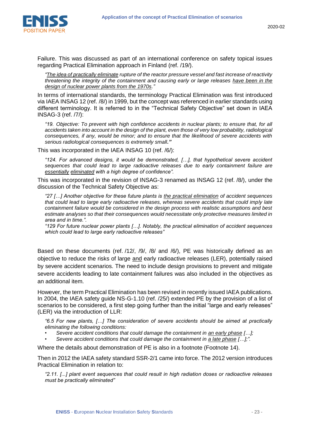



Failure. This was discussed as part of an international conference on safety topical issues regarding Practical Elimination approach in Finland (ref. [/19/\)](#page-19-18).

*"The idea of practically eliminate rupture of the reactor pressure vessel and fast increase of reactivity threatening the integrity of the containment and causing early or large releases have been in the design of nuclear power plants from the 1970s."*

In terms of international standards, the terminology Practical Elimination was first introduced via IAEA INSAG 12 (ref. [/8/\)](#page-19-7) in 1999, but the concept was referenced in earlier standards using different terminology. It is referred to in the "Technical Safety Objective" set down in IAEA INSAG-3 (ref. [/7/\)](#page-19-20):

*"19. Objective: To prevent with high confidence accidents in nuclear plants; to ensure that, for all accidents taken into account in the design of the plant, even those of very low probability, radiological consequences, if any, would be minor; and to ensure that the likelihood of severe accidents with serious radiological consequences is extremely small."*

This was incorporated in the IAEA INSAG 10 (ref. [/6/\)](#page-19-6):

*"124. For advanced designs, it would be demonstrated, […], that hypothetical severe accident sequences that could lead to large radioactive releases due to early containment failure are essentially eliminated with a high degree of confidence".*

This was incorporated in the revision of INSAG-3 renamed as INSAG 12 (ref. [/8/\)](#page-19-7), under the discussion of the Technical Safety Objective as:

*"27 […] Another objective for these future plants is the practical elimination of accident sequences that could lead to large early radioactive releases, whereas severe accidents that could imply late containment failure would be considered in the design process with realistic assumptions and best estimate analyses so that their consequences would necessitate only protective measures limited in area and in time.".*

*"129 For future nuclear power plants […]. Notably, the practical elimination of accident sequences which could lead to large early radioactive releases"*

Based on these documents (ref. [/12/,](#page-19-11) [/9/,](#page-19-8) [/8/](#page-19-7) and [/6/\)](#page-19-6), PE was historically defined as an objective to reduce the risks of large and early radioactive releases (LER), potentially raised by severe accident scenarios. The need to include design provisions to prevent and mitigate severe accidents leading to late containment failures was also included in the objectives as an additional item.

However, the term Practical Elimination has been revised in recently issued IAEA publications. In 2004, the IAEA safety guide NS-G-1.10 (ref. [/25/\)](#page-20-6) extended PE by the provision of a list of scenarios to be considered, a first step going further than the initial "large and early releases" (LER) via the introduction of LLR:

*"6.5 For new plants, […] The consideration of severe accidents should be aimed at practically eliminating the following conditions:*

- *• Severe accident conditions that could damage the containment in an early phase […];*
- *• Severe accident conditions that could damage the containment in a late phase […];".*

Where the details about demonstration of PE is also in a footnote (Footnote 14).

Then in 2012 the IAEA safety standard SSR-2/1 came into force. The 2012 version introduces Practical Elimination in relation to:

*"2.11. [...] plant event sequences that could result in high radiation doses or radioactive releases must be practically eliminated"*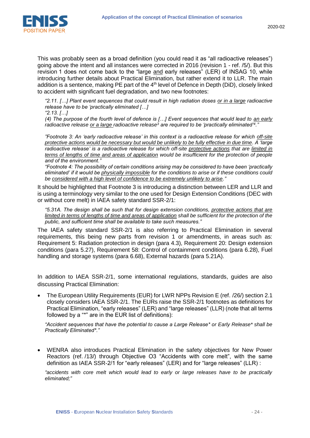

This was probably seen as a broad definition (you could read it as "all radioactive releases") going above the intent and all instances were corrected in 2016 (revision 1 - ref. [/5/\)](#page-19-5). But this revision 1 does not come back to the "large and early releases" (LER) of INSAG 10, while introducing further details about Practical Elimination, but rather extend it to LLR. The main addition is a sentence, making PE part of the 4<sup>th</sup> level of Defence in Depth (DiD), closely linked to accident with significant fuel degradation, and two new footnotes:

*"2.11. […] Plant event sequences that could result in high radiation doses or in a large radioactive release have to be 'practically eliminated […]*

*"2.13. […]* 

*(4) The purpose of the fourth level of defence is […] Event sequences that would lead to an early radioactive release or a large radioactive release<sup>3</sup> are required to be 'practically eliminated'<sup>4</sup> ."*

*"Footnote 3: An 'early radioactive release' in this context is a radioactive release for which off-site protective actions would be necessary but would be unlikely to be fully effective in due time. A 'large radioactive release' is a radioactive release for which off-site protective actions that are limited in terms of lengths of time and areas of application would be insufficient for the protection of people and of the environment."*

*"Footnote 4: The possibility of certain conditions arising may be considered to have been 'practically eliminated' if it would be physically impossible for the conditions to arise or if these conditions could be considered with a high level of confidence to be extremely unlikely to arise."*

It should be highlighted that Footnote 3 is introducing a distinction between LER and LLR and is using a terminology very similar to the one used for Design Extension Conditions (DEC with or without core melt) in IAEA safety standard SSR-2/1:

*"5.31A. The design shall be such that for design extension conditions, protective actions that are limited in terms of lengths of time and areas of application shall be sufficient for the protection of the public, and sufficient time shall be available to take such measures."*

The IAEA safety standard SSR-2/1 is also referring to Practical Elimination in several requirements, this being new parts from revision 1 or amendments, in areas such as: Requirement 5: Radiation protection in design (para 4.3), Requirement 20: Design extension conditions (para 5.27), Requirement 58: Control of containment conditions (para 6.28), Fuel handling and storage systems (para 6.68), External hazards (para 5.21A).

In addition to IAEA SSR-2/1, some international regulations, standards, guides are also discussing Practical Elimination:

 The European Utility Requirements (EUR) for LWR NPPs Revision E (ref. [/26/\)](#page-20-0) section 2.1 closely considers IAEA SSR-2/1. The EURs raise the SSR-2/1 footnotes as definitions for Practical Elimination, "early releases" (LER) and "large releases" (LLR) (note that all terms followed by a "\*" are in the EUR list of definitions):

*"Accident sequences that have the potential to cause a Large Release\* or Early Release\* shall be Practically Eliminated\*."*

 WENRA also introduces Practical Elimination in the safety objectives for New Power Reactors (ref. [/13/\)](#page-19-12) through Objective O3 "Accidents with core melt", with the same definition as IAEA SSR-2/1 for "early releases" (LER) and for "large releases" (LLR) :

*"accidents with core melt which would lead to early or large releases have to be practically eliminated;"*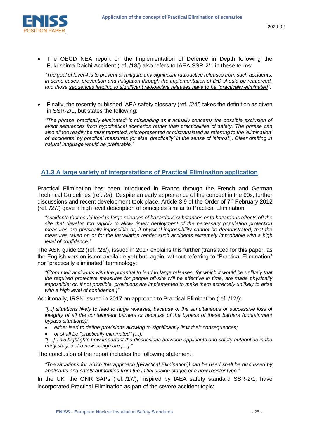

 The OECD NEA report on the Implementation of Defence in Depth following the Fukushima Daichi Accident (ref. [/18/\)](#page-19-19) also refers to IAEA SSR-2/1 in these terms:

*"The goal of level 4 is to prevent or mitigate any significant radioactive releases from such accidents. In some cases, prevention and mitigation through the implementation of DiD should be reinforced, and those sequences leading to significant radioactive releases have to be "practically eliminated".*

• Finally, the recently published IAEA safety glossary (ref.  $/24/$ ) takes the definition as given in SSR-2/1, but states the following:

*"The phrase 'practically eliminated' is misleading as it actually concerns the possible exclusion of event sequences from hypothetical scenarios rather than practicalities of safety. The phrase can also all too readily be misinterpreted, misrepresented or mistranslated as referring to the 'elimination' of 'accidents' by practical measures (or else 'practically' in the sense of 'almost'). Clear drafting in natural language would be preferable."*

#### **A1.3 A large variety of interpretations of Practical Elimination application**

Practical Elimination has been introduced in France through the French and German Technical Guidelines (ref. [/9/\)](#page-19-8). Despite an early appearance of the concept in the 90s, further discussions and recent development took place. Article 3.9 of the Order of 7<sup>th</sup> February 2012 (ref. [/27/\)](#page-20-7) gave a high level description of principles similar to Practical Elimination:

*"accidents that could lead to large releases of hazardous substances or to hazardous effects off the site that develop too rapidly to allow timely deployment of the necessary population protection measures are physically impossible or, if physical impossibility cannot be demonstrated, that the measures taken on or for the installation render such accidents extremely improbable with a high level of confidence."*

The ASN guide 22 (ref. [/23/\)](#page-20-3), issued in 2017 explains this further (translated for this paper, as the English version is not available yet) but, again, without referring to "Practical Elimination" nor "practically eliminated" terminology:

*"[Core melt accidents with the potential to lead to large releases, for which it would be unlikely that the required protective measures for people off-site will be effective in time, are made physically impossible; or, if not possible, provisions are implemented to make them extremely unlikely to arise with a high level of confidence.]"*

Additionally, IRSN issued in 2017 an approach to Practical Elimination (ref. [/12/\)](#page-19-11):

*"[...] situations likely to lead to large releases, because of the simultaneous or successive loss of integrity of all the containment barriers or because of the bypass of these barriers (containment bypass situations):* 

- **e** either lead to define provisions allowing to significantly limit their consequences;
- *or shall be "practically eliminated" […]."*

*"[…] This highlights how important the discussions between applicants and safety authorities in the early stages of a new design are […]."*

The conclusion of the report includes the following statement:

*"The situations for which this approach [(Practical Elimination)] can be used shall be discussed by applicants and safety authorities from the initial design stages of a new reactor type."*

In the UK, the ONR SAPs (ref. [/17/\)](#page-19-16), inspired by IAEA safety standard SSR-2/1, have incorporated Practical Elimination as part of the severe accident topic: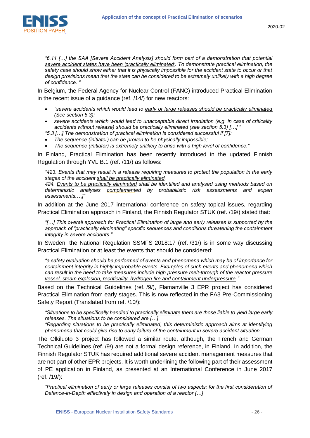

2020-02

*"6.11 […] the SAA [Severe Accident Analysis] should form part of a demonstration that potential severe accident states have been 'practically eliminated'. To demonstrate practical elimination, the safety case should show either that it is physically impossible for the accident state to occur or that design provisions mean that the state can be considered to be extremely unlikely with a high degree of confidence. "*

In Belgium, the Federal Agency for Nuclear Control (FANC) introduced Practical Elimination in the recent issue of a guidance (ref. [/14/\)](#page-19-13) for new reactors:

- *"severe accidents which would lead to early or large releases should be practically eliminated (See section 5.3);*
- *severe accidents which would lead to unacceptable direct irradiation (e.g. in case of criticality accidents without release) should be practically eliminated (see section 5.3) […] "*
- *"5.3 […] The demonstration of practical elimination is considered successful if [7]:*
- *The sequence (initiator) can be proven to be physically impossible;*
- *The sequence (initiator) is extremely unlikely to arise with a high level of confidence."*

In Finland, Practical Elimination has been recently introduced in the updated Finnish Regulation through YVL B.1 (ref. [/11/\)](#page-19-10) as follows:

*"423. Events that may result in a release requiring measures to protect the population in the early stages of the accident shall be practically eliminated.*

*424. Events to be practically eliminated shall be identified and analysed using methods based on deterministic analyses complemented by probabilistic risk assessments and expert assessments.…]"*

In addition at the June 2017 international conference on safety topical issues, regarding Practical Elimination approach in Finland, the Finnish Regulator STUK (ref. [/19/\)](#page-19-18) stated that:

*"[…] This overall approach for Practical Elimination of large and early releases is supported by the approach of "practically eliminating" specific sequences and conditions threatening the containment integrity in severe accidents."*

In Sweden, the National Regulation SSMFS 2018:17 (ref. [/31/\)](#page-20-8) is in some way discussing Practical Elimination or at least the events that should be considered:

*"a safety evaluation should be performed of events and phenomena which may be of importance for containment integrity in highly improbable events. Examples of such events and phenomena which can result in the need to take measures include high pressure melt-through of the reactor pressure vessel, steam explosion, recriticality, hydrogen fire and containment underpressure."*

Based on the Technical Guidelines (ref. [/9/\)](#page-19-8), Flamanville 3 EPR project has considered Practical Elimination from early stages. This is now reflected in the FA3 Pre-Commissioning Safety Report (Translated from ref. [/10/\)](#page-19-9):

*"Situations to be specifically handled to practically eliminate them are those liable to yield large early releases. The situations to be considered are […]*

*"Regarding situations to be practically eliminated, this deterministic approach aims at identifying phenomena that could give rise to early failure of the containment in severe accident situation."*

The Olkiluoto 3 project has followed a similar route, although, the French and German Technical Guidelines (ref. [/9/\)](#page-19-8) are not a formal design reference, in Finland. In addition, the Finnish Regulator STUK has required additional severe accident management measures that are not part of other EPR projects. It is worth underlining the following part of their assessment of PE application in Finland, as presented at an International Conference in June 2017 (ref. [/19/\)](#page-19-18):

*"Practical elimination of early or large releases consist of two aspects: for the first consideration of Defence-in-Depth effectively in design and operation of a reactor […]*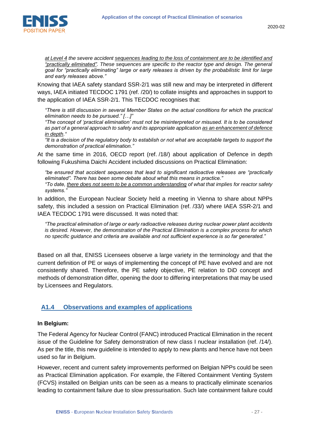

*at Level 4 the severe accident sequences leading to the loss of containment are to be identified and "practically eliminated". These sequences are specific to the reactor type and design. The general goal for "practically eliminating" large or early releases is driven by the probabilistic limit for large and early releases above."*

Knowing that IAEA safety standard SSR-2/1 was still new and may be interpreted in different ways, IAEA initiated TECDOC 1791 (ref. [/20/\)](#page-20-9) to collate insights and approaches in support to the application of IAEA SSR-2/1. This TECDOC recognises that:

*"There is still discussion in several Member States on the actual conditions for which the practical elimination needs to be pursued." […]"*

*"The concept of 'practical elimination' must not be misinterpreted or misused. It is to be considered as part of a general approach to safety and its appropriate application as an enhancement of defence in depth."*

*"It is a decision of the regulatory body to establish or not what are acceptable targets to support the demonstration of practical elimination."*

At the same time in 2016, OECD report (ref. [/18/\)](#page-19-17) about application of Defence in depth following Fukushima Daichi Accident included discussions on Practical Elimination:

*"be ensured that accident sequences that lead to significant radioactive releases are "practically eliminated". There has been some debate about what this means in practice." "To date, there does not seem to be a common understanding of what that implies for reactor safety systems."*

In addition, the European Nuclear Society held a meeting in Vienna to share about NPPs safety, this included a session on Practical Elimination (ref. [/33/\)](#page-20-10) where IAEA SSR-2/1 and IAEA TECDOC 1791 were discussed. It was noted that:

*"The practical elimination of large or early radioactive releases during nuclear power plant accidents is desired. However, the demonstration of the Practical Elimination is a complex process for which no specific guidance and criteria are available and not sufficient experience is so far generated."*

Based on all that, ENISS Licensees observe a large variety in the terminology and that the current definition of PE or ways of implementing the concept of PE have evolved and are not consistently shared. Therefore, the PE safety objective, PE relation to DiD concept and methods of demonstration differ, opening the door to differing interpretations that may be used by Licensees and Regulators.

#### **A1.4 Observations and examples of applications**

#### **In Belgium:**

The Federal Agency for Nuclear Control (FANC) introduced Practical Elimination in the recent issue of the Guideline for Safety demonstration of new class I nuclear installation (ref. [/14/\)](#page-19-13). As per the title, this new guideline is intended to apply to new plants and hence have not been used so far in Belgium.

However, recent and current safety improvements performed on Belgian NPPs could be seen as Practical Elimination application. For example, the Filtered Containment Venting System (FCVS) installed on Belgian units can be seen as a means to practically eliminate scenarios leading to containment failure due to slow pressurisation. Such late containment failure could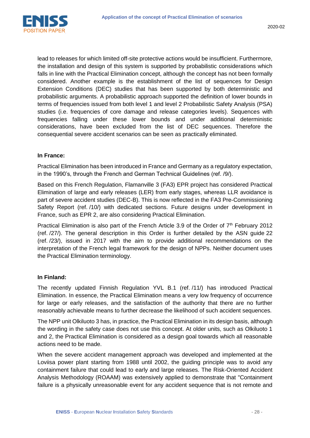

lead to releases for which limited off-site protective actions would be insufficient. Furthermore, the installation and design of this system is supported by probabilistic considerations which falls in line with the Practical Elimination concept, although the concept has not been formally considered. Another example is the establishment of the list of sequences for Design Extension Conditions (DEC) studies that has been supported by both deterministic and probabilistic arguments. A probabilistic approach supported the definition of lower bounds in terms of frequencies issued from both level 1 and level 2 Probabilistic Safety Analysis (PSA) studies (i.e. frequencies of core damage and release categories levels). Sequences with frequencies falling under these lower bounds and under additional deterministic considerations, have been excluded from the list of DEC sequences. Therefore the consequential severe accident scenarios can be seen as practically eliminated.

#### **In France:**

Practical Elimination has been introduced in France and Germany as a regulatory expectation, in the 1990's, through the French and German Technical Guidelines (ref. [/9/\)](#page-19-8).

Based on this French Regulation, Flamanville 3 (FA3) EPR project has considered Practical Elimination of large and early releases (LER) from early stages, whereas LLR avoidance is part of severe accident studies (DEC-B). This is now reflected in the FA3 Pre-Commissioning Safety Report (ref. [/10/\)](#page-19-9) with dedicated sections. Future designs under development in France, such as EPR 2, are also considering Practical Elimination.

Practical Elimination is also part of the French Article 3.9 of the Order of  $7<sup>th</sup>$  February 2012 (ref. [/27/\)](#page-20-7). The general description in this Order is further detailed by the ASN guide 22 (ref. [/23/\)](#page-20-3), issued in 2017 with the aim to provide additional recommendations on the interpretation of the French legal framework for the design of NPPs. Neither document uses the Practical Elimination terminology.

#### **In Finland:**

The recently updated Finnish Regulation YVL B.1 (ref. [/11/\)](#page-19-10) has introduced Practical Elimination. In essence, the Practical Elimination means a very low frequency of occurrence for large or early releases, and the satisfaction of the authority that there are no further reasonably achievable means to further decrease the likelihood of such accident sequences.

The NPP unit Olkiluoto 3 has, in practice, the Practical Elimination in its design basis, although the wording in the safety case does not use this concept. At older units, such as Olkiluoto 1 and 2, the Practical Elimination is considered as a design goal towards which all reasonable actions need to be made.

When the severe accident management approach was developed and implemented at the Loviisa power plant starting from 1988 until 2002, the guiding principle was to avoid any containment failure that could lead to early and large releases. The Risk-Oriented Accident Analysis Methodology (ROAAM) was extensively applied to demonstrate that "Containment failure is a physically unreasonable event for any accident sequence that is not remote and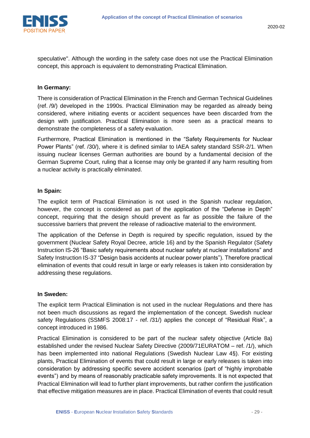

speculative". Although the wording in the safety case does not use the Practical Elimination concept, this approach is equivalent to demonstrating Practical Elimination.

#### **In Germany:**

There is consideration of Practical Elimination in the French and German Technical Guidelines (ref. [/9/\)](#page-19-8) developed in the 1990s. Practical Elimination may be regarded as already being considered, where initiating events or accident sequences have been discarded from the design with justification. Practical Elimination is more seen as a practical means to demonstrate the completeness of a safety evaluation.

Furthermore, Practical Elimination is mentioned in the "Safety Requirements for Nuclear Power Plants" (ref. [/30/\)](#page-20-11), where it is defined similar to IAEA safety standard SSR-2/1. When issuing nuclear licenses German authorities are bound by a fundamental decision of the German Supreme Court, ruling that a license may only be granted if any harm resulting from a nuclear activity is practically eliminated.

#### **In Spain:**

The explicit term of Practical Elimination is not used in the Spanish nuclear regulation, however, the concept is considered as part of the application of the "Defense in Depth" concept, requiring that the design should prevent as far as possible the failure of the successive barriers that prevent the release of radioactive material to the environment.

The application of the Defense in Depth is required by specific regulation, issued by the government (Nuclear Safety Royal Decree, article 16) and by the Spanish Regulator (Safety Instruction IS-26 "Basic safety requirements about nuclear safety at nuclear installations" and Safety Instruction IS-37 "Design basis accidents at nuclear power plants"). Therefore practical elimination of events that could result in large or early releases is taken into consideration by addressing these regulations.

#### **In Sweden:**

The explicit term Practical Elimination is not used in the nuclear Regulations and there has not been much discussions as regard the implementation of the concept. Swedish nuclear safety Regulations (SSMFS 2008:17 - ref. [/31/\)](#page-20-8) applies the concept of "Residual Risk", a concept introduced in 1986.

Practical Elimination is considered to be part of the nuclear safety objective (Article 8a) established under the revised Nuclear Safety Directive (2009/71EURATOM – ref. [/1/\)](#page-19-1), which has been implemented into national Regulations (Swedish Nuclear Law 4§). For existing plants, Practical Elimination of events that could result in large or early releases is taken into consideration by addressing specific severe accident scenarios (part of "highly improbable events") and by means of reasonably practicable safety improvements. It is not expected that Practical Elimination will lead to further plant improvements, but rather confirm the justification that effective mitigation measures are in place. Practical Elimination of events that could result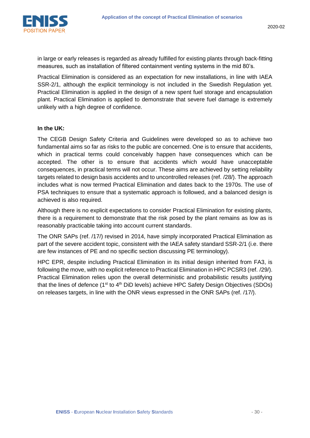

in large or early releases is regarded as already fulfilled for existing plants through back-fitting measures, such as installation of filtered containment venting systems in the mid 80's.

Practical Elimination is considered as an expectation for new installations, in line with IAEA SSR-2/1, although the explicit terminology is not included in the Swedish Regulation yet. Practical Elimination is applied in the design of a new spent fuel storage and encapsulation plant. Practical Elimination is applied to demonstrate that severe fuel damage is extremely unlikely with a high degree of confidence.

#### **In the UK:**

The CEGB Design Safety Criteria and Guidelines were developed so as to achieve two fundamental aims so far as risks to the public are concerned. One is to ensure that accidents, which in practical terms could conceivably happen have consequences which can be accepted. The other is to ensure that accidents which would have unacceptable consequences, in practical terms will not occur. These aims are achieved by setting reliability targets related to design basis accidents and to uncontrolled releases (ref. [/28/\)](#page-20-12). The approach includes what is now termed Practical Elimination and dates back to the 1970s. The use of PSA techniques to ensure that a systematic approach is followed, and a balanced design is achieved is also required.

Although there is no explicit expectations to consider Practical Elimination for existing plants, there is a requirement to demonstrate that the risk posed by the plant remains as low as is reasonably practicable taking into account current standards.

The ONR SAPs (ref. [/17/\)](#page-19-16) revised in 2014, have simply incorporated Practical Elimination as part of the severe accident topic, consistent with the IAEA safety standard SSR-2/1 (i.e. there are few instances of PE and no specific section discussing PE terminology).

HPC EPR, despite including Practical Elimination in its initial design inherited from FA3, is following the move, with no explicit reference to Practical Elimination in HPC PCSR3 (ref. [/29/\)](#page-20-13). Practical Elimination relies upon the overall deterministic and probabilistic results justifying that the lines of defence  $(1^{st}$  to  $4^{th}$  DiD levels) achieve HPC Safety Design Objectives (SDOs) on releases targets, in line with the ONR views expressed in the ONR SAPs (ref. [/17/\)](#page-19-16).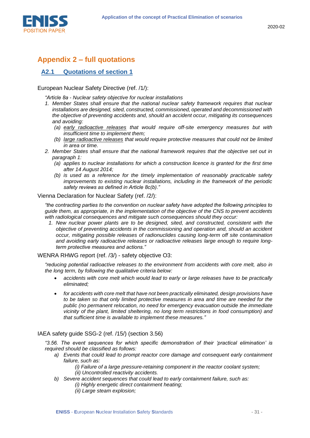

## <span id="page-30-0"></span>**Appendix 2 – full quotations**

#### **A2.1 Quotations of section [1](#page-4-0)**

#### European Nuclear Safety Directive (ref. [/1/\)](#page-19-1):

*"Article 8a - Nuclear safety objective for nuclear installations*

- *1. Member States shall ensure that the national nuclear safety framework requires that nuclear installations are designed, sited, constructed, commissioned, operated and decommissioned with the objective of preventing accidents and, should an accident occur, mitigating its consequences and avoiding:* 
	- *(a) early radioactive releases that would require off-site emergency measures but with insufficient time to implement them;*
	- *(b) large radioactive releases that would require protective measures that could not be limited in area or time.*
- *2. Member States shall ensure that the national framework requires that the objective set out in paragraph 1:* 
	- *(a) applies to nuclear installations for which a construction licence is granted for the first time after 14 August 2014;*
	- *(b) is used as a reference for the timely implementation of reasonably practicable safety improvements to existing nuclear installations, including in the framework of the periodic safety reviews as defined in Article 8c(b)."*

#### Vienna Declaration for Nuclear Safety (ref. [/2/\)](#page-19-2):

*"the contracting parties to the convention on nuclear safety have adopted the following principles to guide them, as appropriate, in the implementation of the objective of the CNS to prevent accidents with radiological consequences and mitigate such consequences should they occur:*

*1. New nuclear power plants are to be designed, sited, and constructed, consistent with the objective of preventing accidents in the commissioning and operation and, should an accident occur, mitigating possible releases of radionuclides causing long-term off site contamination and avoiding early radioactive releases or radioactive releases large enough to require longterm protective measures and actions."*

WENRA RHWG report (ref. [/3/\)](#page-19-3) - safety objective O3:

*"reducing potential radioactive releases to the environment from accidents with core melt, also in the long term, by following the qualitative criteria below:* 

- *accidents with core melt which would lead to early or large releases have to be practically eliminated;*
- *for accidents with core melt that have not been practically eliminated, design provisions have to be taken so that only limited protective measures in area and time are needed for the public (no permanent relocation, no need for emergency evacuation outside the immediate vicinity of the plant, limited sheltering, no long term restrictions in food consumption) and that sufficient time is available to implement these measures."*

#### IAEA safety guide SSG-2 (ref. [/15/\)](#page-19-14) (section 3.56)

*"3.56. The event sequences for which specific demonstration of their 'practical elimination' is required should be classified as follows:* 

- *a) Events that could lead to prompt reactor core damage and consequent early containment failure, such as:*
	- *(i) Failure of a large pressure-retaining component in the reactor coolant system;*
	- *(ii) Uncontrolled reactivity accidents.*
- *b) Severe accident sequences that could lead to early containment failure, such as:* 
	- *(i) Highly energetic direct containment heating;*
	- *(ii) Large steam explosion;*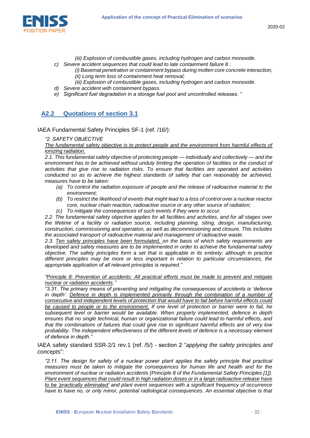

*(iii) Explosion of combustible gases, including hydrogen and carbon monoxide.*

- *c) Severe accident sequences that could lead to late containment failure 8 :* 
	- *(i) Basemat penetration or containment bypass during molten core concrete interaction; (ii) Long term loss of containment heat removal;*
	- *(iii) Explosion of combustible gases, including hydrogen and carbon monoxide.*
- *d) Severe accident with containment bypass.*
- *e) Significant fuel degradation in a storage fuel pool and uncontrolled releases. "*

#### **A2.2 Quotations of section [3.1](#page-7-1)**

IAEA Fundamental Safety Principles SF-1 (ref. [/16/\)](#page-19-15):

#### *"2. SAFETY OBJECTIVE*

*The fundamental safety objective is to protect people and the environment from harmful effects of ionizing radiation.*

*2.1. This fundamental safety objective of protecting people — individually and collectively — and the environment has to be achieved without unduly limiting the operation of facilities or the conduct of activities that give rise to radiation risks. To ensure that facilities are operated and activities conducted so as to achieve the highest standards of safety that can reasonably be achieved, measures have to be taken:*

- *(a) To control the radiation exposure of people and the release of radioactive material to the environment;*
- *(b) To restrict the likelihood of events that might lead to a loss of control over a nuclear reactor core, nuclear chain reaction, radioactive source or any other source of radiation;*
- *(c) To mitigate the consequences of such events if they were to occur.*

*2.2. The fundamental safety objective applies for all facilities and activities, and for all stages over the lifetime of a facility or radiation source, including planning, siting, design, manufacturing, construction, commissioning and operation, as well as decommissioning and closure. This includes the associated transport of radioactive material and management of radioactive waste.*

*2.3. Ten safety principles have been formulated, on the basis of which safety requirements are developed and safety measures are to be implemented in order to achieve the fundamental safety objective. The safety principles form a set that is applicable in its entirety; although in practice different principles may be more or less important in relation to particular circumstances, the appropriate application of all relevant principles is required."*

#### *"Principle 8: Prevention of accidents: All practical efforts must be made to prevent and mitigate nuclear or radiation accidents."*

*"3.31. The primary means of preventing and mitigating the consequences of accidents is 'defence in depth'. Defence in depth is implemented primarily through the combination of a number of consecutive and independent levels of protection that would have to fail before harmful effects could be caused to people or to the environment. If one level of protection or barrier were to fail, he subsequent level or barrier would be available. When properly implemented, defence in depth ensures that no single technical, human or organizational failure could lead to harmful effects, and that the combinations of failures that could give rise to significant harmful effects are of very low probability. The independent effectiveness of the different levels of defence is a necessary element of defence in depth."*

IAEA safety standard SSR-2/1 rev.1 (ref. [/5/\)](#page-19-5) - section 2 "*applying the safety principles and concepts*":

*"2.11. The design for safety of a nuclear power plant applies the safety principle that practical measures must be taken to mitigate the consequences for human life and health and for the environment of nuclear or radiation accidents (Principle 8 of the Fundamental Safety Principles [1]). Plant event sequences that could result in high radiation doses or in a large radioactive release have to be 'practically eliminated' and plant event sequences with a significant frequency of occurrence have to have no, or only minor, potential radiological consequences. An essential objective is that*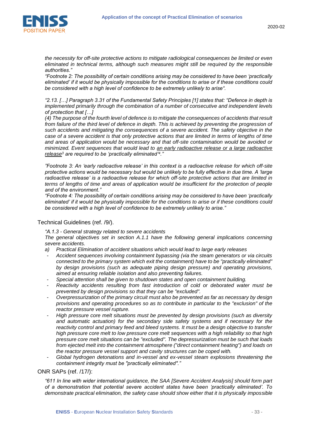

*the necessity for off-site protective actions to mitigate radiological consequences be limited or even eliminated in technical terms, although such measures might still be required by the responsible authorities."*

*"Footnote 2: The possibility of certain conditions arising may be considered to have been 'practically eliminated' if it would be physically impossible for the conditions to arise or if these conditions could be considered with a high level of confidence to be extremely unlikely to arise".*

*"2.13. […] Paragraph 3.31 of the Fundamental Safety Principles [1] states that: "Defence in depth is implemented primarily through the combination of a number of consecutive and independent levels of protection that […]*

*(4) The purpose of the fourth level of defence is to mitigate the consequences of accidents that result from failure of the third level of defence in depth. This is achieved by preventing the progression of such accidents and mitigating the consequences of a severe accident. The safety objective in the case of a severe accident is that only protective actions that are limited in terms of lengths of time and areas of application would be necessary and that off-site contamination would be avoided or minimized. Event sequences that would lead to an early radioactive release or a large radioactive release<sup>3</sup> are required to be 'practically eliminated'<sup>4</sup> ."*

*"Footnote 3: An 'early radioactive release' in this context is a radioactive release for which off-site protective actions would be necessary but would be unlikely to be fully effective in due time. A 'large radioactive release' is a radioactive release for which off-site protective actions that are limited in terms of lengths of time and areas of application would be insufficient for the protection of people and of the environment."*

*"Footnote 4: The possibility of certain conditions arising may be considered to have been 'practically eliminated' if it would be physically impossible for the conditions to arise or if these conditions could be considered with a high level of confidence to be extremely unlikely to arise."*

Technical Guidelines (ref. [/9/\)](#page-19-8).

*"A.1.3 - General strategy related to severe accidents*

*The general objectives set in section A.1.1 have the following general implications concerning severe accidents.*

- *a) Practical Elimination of accident situations which would lead to large early releases*
- *Accident sequences involving containment bypassing (via the steam generators or via circuits connected to the primary system which exit the containment) have to be "practically eliminated" by design provisions (such as adequate piping design pressure) and operating provisions, aimed at ensuring reliable isolation and also preventing failures.*
- *Special attention shall be given to shutdown states and open containment building.*
- *Reactivity accidents resulting from fast introduction of cold or deborated water must be prevented by design provisions so that they can be "excluded".*
- *Overpressurization of the primary circuit must also be prevented as far as necessary by design provisions and operating procedures so as to contribute in particular to the "exclusion" of the reactor pressure vessel rupture.*
- *High pressure core melt situations must be prevented by design provisions (such as diversity and automatic actuation) for the secondary side safety systems and if necessary for the reactivity control and primary feed and bleed systems. It must be a design objective to transfer high pressure core melt to low pressure core melt sequences with a high reliability so that high pressure core melt situations can be "excluded". The depressurization must be such that loads from ejected melt into the containment atmosphere ("direct containment heating") and loads on the reactor pressure vessel support and cavity structures can be coped with.*
- *Global hydrogen detonations and in-vessel and ex-vessel steam explosions threatening the containment integrity must be "practically eliminated"."*

ONR SAPs (ref. [/17/\)](#page-19-16):

*"611 In line with wider international guidance, the SAA [Severe Accident Analysis] should form part of a demonstration that potential severe accident states have been 'practically eliminated'. To demonstrate practical elimination, the safety case should show either that it is physically impossible*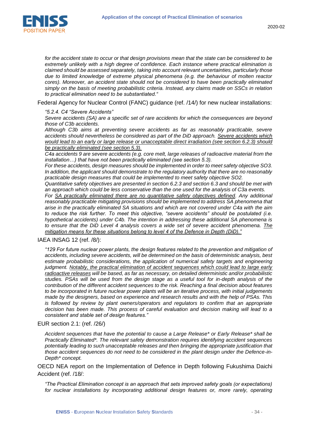

*for the accident state to occur or that design provisions mean that the state can be considered to be extremely unlikely with a high degree of confidence. Each instance where practical elimination is claimed should be assessed separately, taking into account relevant uncertainties, particularly those due to limited knowledge of extreme physical phenomena (e.g. the behaviour of molten reactor cores). Moreover, an accident state should not be considered to have been practically eliminated simply on the basis of meeting probabilistic criteria. Instead, any claims made on SSCs in relation to practical elimination need to be substantiated."*

Federal Agency for Nuclear Control (FANC) guidance (ref. [/14/\)](#page-19-13) for new nuclear installations:

*"5.2.4. C4 "Severe Accidents"* 

*Severe accidents (SA) are a specific set of rare accidents for which the consequences are beyond those of C3b accidents.* 

*Although C3b aims at preventing severe accidents as far as reasonably practicable, severe accidents should nevertheless be considered as part of the DiD approach. Severe accidents which would lead to an early or large release or unacceptable direct irradiation (see section 6.2.3) should be practically eliminated (see section 5.3).* 

*C4a accidents 9 are severe accidents (e.g. core melt, large releases of radioactive material from the installation…) that have not been practically eliminated (see section 5.3).* 

*For these accidents, design measures should be implemented in order to meet safety objective SO3. In addition, the applicant should demonstrate to the regulatory authority that there are no reasonably practicable design measures that could be implemented to meet safety objective SO2.*

*Quantitative safety objectives are presented in section 6.2.3 and section 6.3 and should be met with an approach which could be less conservative than the one used for the analysis of C3a events.* 

*For SA practically eliminated there are no quantitative safety objectives defined. Any additional reasonably practicable mitigating provisions should be implemented to address SA phenomena that arise in the practically eliminated SA situations and which are not covered under C4a with the aim to reduce the risk further. To meet this objective, "severe accidents" should be postulated (i.e. hypothetical accidents) under C4b. The intention in addressing these additional SA phenomena is to ensure that the DiD Level 4 analysis covers a wide set of severe accident phenomena. The mitigation means for these situations belong to level 4 of the Defence in Depth (DiD)."*

IAEA INSAG 12 (ref. [/8/\)](#page-19-7):

*"129 For future nuclear power plants, the design features related to the prevention and mitigation of accidents, including severe accidents, will be determined on the basis of deterministic analysis, best estimate probabilistic considerations, the application of numerical safety targets and engineering judgment. Notably, the practical elimination of accident sequences which could lead to large early radioactive releases will be based, as far as necessary, on detailed deterministic and/or probabilistic studies. PSAs will be used from the design stage as a useful tool for in-depth analysis of the contribution of the different accident sequences to the risk. Reaching a final decision about features to be incorporated in future nuclear power plants will be an iterative process, with initial judgements made by the designers, based on experience and research results and with the help of PSAs. This is followed by review by plant owners/operators and regulators to confirm that an appropriate decision has been made. This process of careful evaluation and decision making will lead to a consistent and stable set of design features."*

EUR section 2.1: (ref. [/26/\)](#page-20-0)

*Accident sequences that have the potential to cause a Large Release\* or Early Release\* shall be Practically Eliminated\*. The relevant safety demonstration requires identifying accident sequences potentially leading to such unacceptable releases and then bringing the appropriate justification that those accident sequences do not need to be considered in the plant design under the Defence-in-Depth\* concept.* 

OECD NEA report on the Implementation of Defence in Depth following Fukushima Daichi Accident (ref. [/18/:](#page-19-19)

*"The Practical Elimination concept is an approach that sets improved safety goals (or expectations)*  for nuclear installations by incorporating additional design features or, more rarely, operating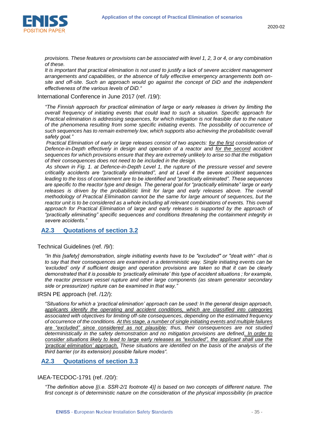

*provisions. These features or provisions can be associated with level 1, 2, 3 or 4, or any combination of these.* 

*It is important that practical elimination is not used to justify a lack of severe accident management arrangements and capabilities, or the absence of fully effective emergency arrangements both onsite and off-site. Such an approach would go against the concept of DiD and the independent effectiveness of the various levels of DiD."*

International Conference in June 2017 (ref. [/19/\)](#page-19-18):

*"The Finnish approach for practical elimination of large or early releases is driven by limiting the overall frequency of initiating events that could lead to such a situation. Specific approach for Practical elimination is addressing sequences, for which mitigation is not feasible due to the nature of the phenomena resulting from some specific initiating events. The possibility of occurrence of such sequences has to remain extremely low, which supports also achieving the probabilistic overall safety goal."* 

*Practical Elimination of early or large releases consist of two aspects: for the first consideration of Defence-in-Depth effectively in design and operation of a reactor and for the second accident sequences for which provisions ensure that they are extremely unlikely to arise so that the mitigation of their consequences does not need to be included in the design.*

*As shown in Fig. 1. at Defence-in-Depth Level 1, the rupture of the pressure vessel and severe criticality accidents are "practically eliminated", and at Level 4 the severe accident sequences leading to the loss of containment are to be identified and "practically eliminated". These sequences are specific to the reactor type and design. The general goal for "practically eliminate" large or early*  releases is driven by the probabilistic limit for large and early releases above. The overall *methodology of Practical Elimination cannot be the same for large amount of sequences, but the reactor unit is to be considered as a whole including all relevant combinations of events. This overall approach for Practical Elimination of large and early releases is supported by the approach of "practically eliminating" specific sequences and conditions threatening the containment integrity in severe accidents."*

#### **A2.3 Quotations of section [3.2](#page-9-0)**

Technical Guidelines (ref. [/9/\)](#page-19-8):

*"In this [safety] demonstration, single initiating events have to be "excluded" or "dealt with" -that is to say that their consequences are examined in a deterministic way. Single initiating events can be 'excluded' only if sufficient design and operation provisions are taken so that it can be clearly demonstrated that it is possible to 'practically eliminate' this type of accident situations ; for example, the reactor pressure vessel rupture and other large components (as steam generator secondary side or pressurizer) rupture can be examined in that way."*

IRSN PE approach (ref. [/12/\)](#page-19-11):

*"Situations for which a 'practical elimination' approach can be used: In the general design approach, applicants identify the operating and accident conditions, which are classified into categories associated with objectives for limiting off-site consequences, depending on the estimated frequency of occurrence of the conditions. At this stage, a number of single initiating events and multiple failures are "excluded" since considered as not plausible; thus, their consequences are not studied deterministically in the safety demonstration and no mitigation provisions are defined. In order to consider situations likely to lead to large early releases as "excluded", the applicant shall use the 'practical elimination' approach. These situations are identified on the basis of the analysis of the third barrier (or its extension) possible failure modes".*

#### **A2.3 Quotations of section [3.3](#page-11-0)**

#### IAEA-TECDOC-1791 (ref. [/20/\)](#page-20-9):

*"The definition above [(i.e. SSR-2/1 footnote 4)] is based on two concepts of different nature. The first concept is of deterministic nature on the consideration of the physical impossibility (in practice*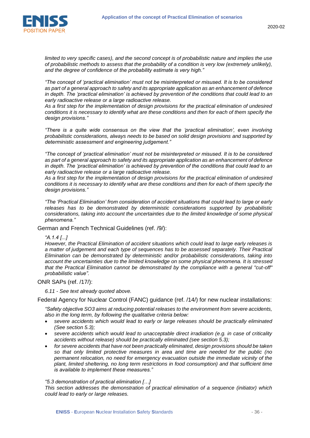



*limited to very specific cases), and the second concept is of probabilistic nature and implies the use of probabilistic methods to assess that the probability of a condition is very low (extremely unlikely), and the degree of confidence of the probability estimate is very high."* 

*"The concept of 'practical elimination' must not be misinterpreted or misused. It is to be considered as part of a general approach to safety and its appropriate application as an enhancement of defence in depth. The 'practical elimination' is achieved by prevention of the conditions that could lead to an early radioactive release or a large radioactive release.* 

*As a first step for the implementation of design provisions for the practical elimination of undesired conditions it is necessary to identify what are these conditions and then for each of them specify the design provisions."*

*"There is a quite wide consensus on the view that the 'practical elimination', even involving probabilistic considerations, always needs to be based on solid design provisions and supported by deterministic assessment and engineering judgement."*

*"The concept of 'practical elimination' must not be misinterpreted or misused. It is to be considered as part of a general approach to safety and its appropriate application as an enhancement of defence in depth. The 'practical elimination' is achieved by prevention of the conditions that could lead to an early radioactive release or a large radioactive release.* 

*As a first step for the implementation of design provisions for the practical elimination of undesired conditions it is necessary to identify what are these conditions and then for each of them specify the design provisions."*

*"The 'Practical Elimination' from consideration of accident situations that could lead to large or early releases has to be demonstrated by deterministic considerations supported by probabilistic considerations, taking into account the uncertainties due to the limited knowledge of some physical phenomena."*

German and French Technical Guidelines (ref. [/9/\)](#page-19-8):

#### *"A.1.4 [...]*

*However, the Practical Elimination of accident situations which could lead to large early releases is a matter of judgement and each type of sequences has to be assessed separately. Their Practical Elimination can be demonstrated by deterministic and/or probabilistic considerations, taking into account the uncertainties due to the limited knowledge on some physical phenomena. It is stressed that the Practical Elimination cannot be demonstrated by the compliance with a general "cut-off" probabilistic value".*

#### ONR SAPs (ref. [/17/\)](#page-19-16):

*6.11 - See text already quoted above.*

Federal Agency for Nuclear Control (FANC) guidance (ref. [/14/\)](#page-19-13) for new nuclear installations:

*"Safety objective SO3 aims at reducing potential releases to the environment from severe accidents, also in the long term, by following the qualitative criteria below:* 

- *severe accidents which would lead to early or large releases should be practically eliminated (See section 5.3);*
- *severe accidents which would lead to unacceptable direct irradiation (e.g. in case of criticality accidents without release) should be practically eliminated (see section 5.3);*
- *for severe accidents that have not been practically eliminated, design provisions should be taken so that only limited protective measures in area and time are needed for the public (no permanent relocation, no need for emergency evacuation outside the immediate vicinity of the plant, limited sheltering, no long term restrictions in food consumption) and that sufficient time is available to implement these measures."*

#### *"5.3 demonstration of practical elimination […]*

*This section addresses the demonstration of practical elimination of a sequence (initiator) which could lead to early or large releases.*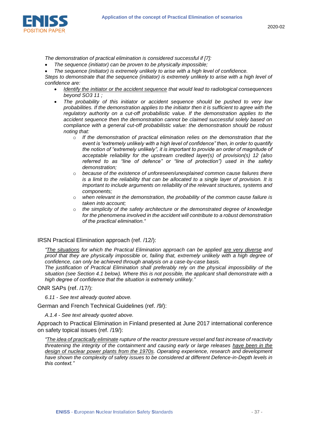

*The demonstration of practical elimination is considered successful if [7]:* 

- *The sequence (initiator) can be proven to be physically impossible;*
- *The sequence (initiator) is extremely unlikely to arise with a high level of confidence.*

*Steps to demonstrate that the sequence (initiator) is extremely unlikely to arise with a high level of confidence are:* 

- *Identify the initiator or the accident sequence that would lead to radiological consequences beyond SO3 11 ;*
- *The probability of this initiator or accident sequence should be pushed to very low probabilities. If the demonstration applies to the initiator then it is sufficient to agree with the regulatory authority on a cut-off probabilistic value. If the demonstration applies to the accident sequence then the demonstration cannot be claimed successful solely based on compliance with a general cut-off probabilistic value: the demonstration should be robust noting that:* 
	- o *If the demonstration of practical elimination relies on the demonstration that the event is "extremely unlikely with a high level of confidence" then, in order to quantify the notion of "extremely unlikely", it is important to provide an order of magnitude of acceptable reliability for the upstream credited layer(s) of provision(s) 12 (also referred to as "line of defence" or "line of protection") used in the safety demonstration;*
	- o *because of the existence of unforeseen/unexplained common cause failures there is a limit to the reliability that can be allocated to a single layer of provision. It is important to include arguments on reliability of the relevant structures, systems and components;*
	- o *when relevant in the demonstration, the probability of the common cause failure is taken into account;*
	- o *the simplicity of the safety architecture or the demonstrated degree of knowledge for the phenomena involved in the accident will contribute to a robust demonstration of the practical elimination."*

#### IRSN Practical Elimination approach (ref. [/12/\)](#page-19-11):

*"The situations for which the Practical Elimination approach can be applied are very diverse and proof that they are physically impossible or, failing that, extremely unlikely with a high degree of confidence, can only be achieved through analysis on a case-by-case basis.*

*The justification of Practical Elimination shall preferably rely on the physical impossibility of the situation (see Section 4.1 below). Where this is not possible, the applicant shall demonstrate with a high degree of confidence that the situation is extremely unlikely."*

#### ONR SAPs (ref. [/17/\)](#page-19-16):

*6.11 - See text already quoted above.*

German and French Technical Guidelines (ref. [/9/\)](#page-19-8):

*A.1.4 - See text already quoted above.*

Approach to Practical Elimination in Finland presented at June 2017 international conference on safety topical issues (ref. [/19/\)](#page-19-18):

*"The idea of practically eliminate rupture of the reactor pressure vessel and fast increase of reactivity threatening the integrity of the containment and causing early or large releases have been in the design of nuclear power plants from the 1970s. Operating experience, research and development have shown the complexity of safety issues to be considered at different Defence-in-Depth levels in this context."*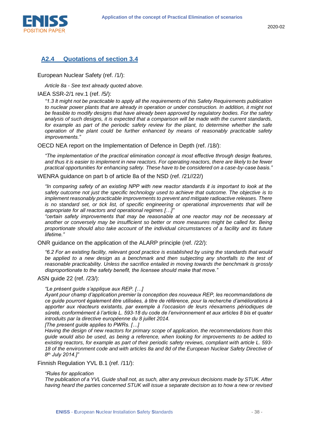

#### **A2.4 Quotations of section [3.4](#page-12-0)**

European Nuclear Safety (ref. [/1/\)](#page-19-1):

*Article 8a - See text already quoted above.*

IAEA SSR-2/1 rev.1 (ref. [/5/\)](#page-19-5):

*"1.3 It might not be practicable to apply all the requirements of this Safety Requirements publication to nuclear power plants that are already in operation or under construction. In addition, it might not be feasible to modify designs that have already been approved by regulatory bodies. For the safety analysis of such designs, it is expected that a comparison will be made with the current standards, for example as part of the periodic safety review for the plant, to determine whether the safe operation of the plant could be further enhanced by means of reasonably practicable safety improvements."*

OECD NEA report on the Implementation of Defence in Depth (ref. [/18/\)](#page-19-19):

*"The implementation of the practical elimination concept is most effective through design features, and thus it is easier to implement in new reactors. For operating reactors, there are likely to be fewer practical opportunities for enhancing safety. These have to be considered on a case-by-case basis."*

WENRA guidance on part b of article 8a of the NSD (ref. [/21/](#page-20-1)[/22/\)](#page-20-2)

*"In comparing safety of an existing NPP with new reactor standards it is important to look at the safety outcome not just the specific technology used to achieve that outcome. The objective is to implement reasonably practicable improvements to prevent and mitigate radioactive releases. There is no standard set, or tick list, of specific engineering or operational improvements that will be appropriate for all reactors and operational regimes […]"*

*"certain safety improvements that may be reasonable at one reactor may not be necessary at another or conversely may be insufficient so better or more measures might be called for. Being proportionate should also take account of the individual circumstances of a facility and its future lifetime."*

ONR guidance on the application of the ALARP principle (ref. [/22/\)](#page-20-2):

*"6.2 For an existing facility, relevant good practice is established by using the standards that would*  be applied to a new design as a benchmark and then subjecting any shortfalls to the test of *reasonable practicability. Unless the sacrifice entailed in moving towards the benchmark is grossly disproportionate to the safety benefit, the licensee should make that move."*

ASN guide 22 (ref. [/23/\)](#page-20-3):

*"Le présent guide s'applique aux REP. […]*

*Ayant pour champ d'application premier la conception des nouveaux REP, les recommandations de ce guide pourront également être utilisées, à titre de référence, pour la recherche d'améliorations à apporter aux réacteurs existants, par exemple à l'occasion de leurs réexamens périodiques de sûreté, conformément à l'article L. 593-18 du code de l'environnement et aux articles 8 bis et quater introduits par la directive européenne du 8 juillet 2014.*

*[The present guide applies to PWRs. […]*

*Having the design of new reactors for primary scope of application, the recommendations from this guide would also be used, as being a reference, when looking for improvements to be added to existing reactors, for example as part of their periodic safety reviews, compliant with article L. 593- 18 of the environment code and with articles 8a and 8d of the European Nuclear Safety Directive of 8 th July 2014.]"*

Finnish Regulation YVL B.1 (ref. [/11/\)](#page-19-10):

#### *"Rules for application*

*The publication of a YVL Guide shall not, as such, alter any previous decisions made by STUK. After having heard the parties concerned STUK will issue a separate decision as to how a new or revised*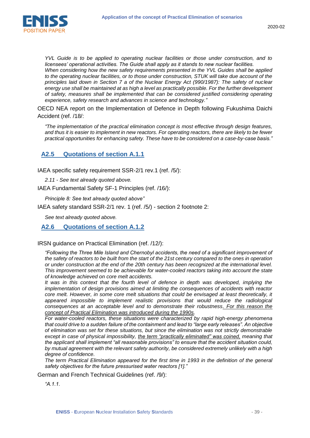

*YVL Guide is to be applied to operating nuclear facilities or those under construction, and to licensees' operational activities. The Guide shall apply as it stands to new nuclear facilities. When considering how the new safety requirements presented in the YVL Guides shall be applied to the operating nuclear facilities, or to those under construction, STUK will take due account of the principles laid down in Section 7 a of the Nuclear Energy Act (990/1987): The safety of nuclear energy use shall be maintained at as high a level as practically possible. For the further development of safety, measures shall be implemented that can be considered justified considering operating experience, safety research and advances in science and technology."*

OECD NEA report on the Implementation of Defence in Depth following Fukushima Daichi Accident (ref. [/18/:](#page-19-19)

*"The implementation of the practical elimination concept is most effective through design features, and thus it is easier to implement in new reactors. For operating reactors, there are likely to be fewer practical opportunities for enhancing safety. These have to be considered on a case-by-case basis."*

#### **A2.5 Quotations of section A.1.1**

IAEA specific safety requirement SSR-2/1 rev.1 (ref. [/5/\)](#page-19-5):

*2.11 - See text already quoted above.*

IAEA Fundamental Safety SF-1 Principles (ref. [/16/\)](#page-19-15):

*Principle 8: See text already quoted above"*

IAEA safety standard SSR-2/1 rev. 1 (ref. [/5/\)](#page-19-5) - section 2 footnote 2:

*See text already quoted above.*

**A2.6 Quotations of section A.1.2**

IRSN guidance on Practical Elimination (ref. [/12/\)](#page-19-11):

*"Following the Three Mile Island and Chernobyl accidents, the need of a significant improvement of the safety of reactors to be built from the start of the 21st century compared to the ones in operation or under construction at the end of the 20th century has been recognized at the international level. This improvement seemed to be achievable for water-cooled reactors taking into account the state of knowledge achieved on core melt accidents.*

*It was in this context that the fourth level of defence in depth was developed, implying the implementation of design provisions aimed at limiting the consequences of accidents with reactor core melt. However, in some core melt situations that could be envisaged at least theoretically, it appeared impossible to implement realistic provisions that would reduce the radiological consequences at an acceptable level and to demonstrate their robustness. For this reason the concept of Practical Elimination was introduced during the 1990s.* 

*For water-cooled reactors, these situations were characterized by rapid high-energy phenomena that could drive to a sudden failure of the containment and lead to "large early releases". An objective of elimination was set for these situations, but since the elimination was not strictly demonstrable except in case of physical impossibility, the term "practically eliminated" was coined, meaning that the applicant shall implement "all reasonable provisions" to ensure that the accident situation could, by mutual agreement with the relevant safety authority, be considered extremely unlikely with a high degree of confidence.* 

*The term Practical Elimination appeared for the first time in 1993 in the definition of the general safety objectives for the future pressurised water reactors [1]."*

German and French Technical Guidelines (ref. [/9/\)](#page-19-8):

*"A.1.1.*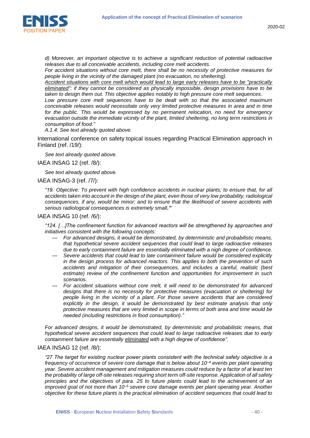

*d) Moreover, an important objective is to achieve a significant reduction of potential radioactive releases due to all conceivable accidents, including core melt accidents.*

*For accident situations without core melt, there shall be no necessity of protective measures for people living in the vicinity of the damaged plant (no evacuation, no sheltering).*

*Accident situations with core melt which would lead to large early releases have to be "practically eliminated": if they cannot be considered as physically impossible, design provisions have to be taken to design them out. This objective applies notably to high pressure core melt sequences.*

*Low pressure core melt sequences have to be dealt with so that the associated maximum conceivable releases would necessitate only very limited protective measures in area and in time for the public. This would be expressed by no permanent relocation, no need for emergency evacuation outside the immediate vicinity of the plant, limited sheltering, no long term restrictions in consumption of food."*

*A.1.4: See text already quoted above.*

International conference on safety topical issues regarding Practical Elimination approach in Finland (ref. [/19/\)](#page-19-18):

*See text already quoted above.*

IAEA INSAG 12 (ref. [/8/\)](#page-19-7):

*See text already quoted above.*

#### IAEA INSAG-3 (ref. [/7/\)](#page-19-20):

*"19. Objective: To prevent with high confidence accidents in nuclear plants; to ensure that, for all accidents taken into account in the design of the plant, even those of very low probability, radiological consequences, if any, would be minor; and to ensure that the likelihood of severe accidents with serious radiological consequences is extremely small."*

#### IAEA INSAG 10 (ref. [/6/\)](#page-19-6):

*"124. […]The confinement function for advanced reactors will be strengthened by approaches and initiatives consistent with the following concepts:*

- *— For advanced designs, it would be demonstrated, by deterministic and probabilistic means, that hypothetical severe accident sequences that could lead to large radioactive releases due to early containment failure are essentially eliminated with a nigh degree of confidence.*
- *— Severe accidents that could lead to late containment failure would be considered explicitly in the design process for advanced reactors. This applies to both the prevention of such accidents and mitigation of their consequences, and includes a careful, realistic (best estimate) review of the confinement function and opportunities for improvement in such scenarios.*
- *— For accident situations without core melt, it will need to be demonstrated for advanced designs that there is no necessity for protective measures (evacuation or sheltering) for people living in the vicinity of a plant. For those severe accidents that are considered*  explicitly in the design, it would be demonstrated by best estimate analysis that only *protective measures that are very limited in scope in terms of both area and time would be needed (including restrictions in food consumption)."*

*For advanced designs, it would be demonstrated, by deterministic and probabilistic means, that hypothetical severe accident sequences that could lead to large radioactive releases due to early containment failure are essentially eliminated with a high degree of confidence".*

#### IAEA INSAG 12 (ref. [/8/\)](#page-19-7):

*"27 The target for existing nuclear power plants consistent with the technical safety objective is a frequency of occurrence of severe core damage that is below about 10–4 events per plant operating year. Severe accident management and mitigation measures could reduce by a factor of at least ten the probability of large off-site releases requiring short term off-site response. Application of all safety principles and the objectives of para. 25 to future plants could lead to the achievement of an improved goal of not more than 10–5 severe core damage events per plant operating year. Another objective for these future plants is the practical elimination of accident sequences that could lead to*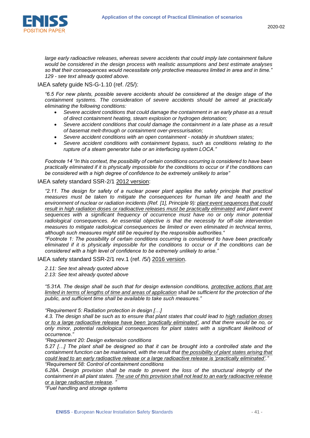

*large early radioactive releases, whereas severe accidents that could imply late containment failure would be considered in the design process with realistic assumptions and best estimate analyses so that their consequences would necessitate only protective measures limited in area and in time." 129 - see text already quoted above.*

#### IAEA safety guide NS-G-1.10 (ref. [/25/\)](#page-20-6):

*"6.5 For new plants, possible severe accidents should be considered at the design stage of the containment systems. The consideration of severe accidents should be aimed at practically eliminating the following conditions:*

- *Severe accident conditions that could damage the containment in an early phase as a result of direct containment heating, steam explosion or hydrogen detonation;*
- *Severe accident conditions that could damage the containment in a late phase as a result of basemat melt-through or containment over-pressurisation;*
- *Severe accident conditions with an open containment - notably in shutdown states;*
- *Severe accident conditions with containment bypass, such as conditions relating to the rupture of a steam generator tube or an interfacing system LOCA."*

*Footnote 14 "In this context, the possibility of certain conditions occurring is considered to have been practically eliminated if it is physically impossible for the conditions to occur or if the conditions can be considered with a high degree of confidence to be extremely unlikely to arise"*

IAEA safety standard SSR-2/1 2012 version:

*"2.11. The design for safety of a nuclear power plant applies the safety principle that practical measures must be taken to mitigate the consequences for human life and health and the environment of nuclear or radiation incidents (Ref. [1], Principle 9): plant event sequences that could result in high radiation doses or radioactive releases must be practically eliminated and plant event sequences with a significant frequency of occurrence must have no or only minor potential radiological consequences. An essential objective is that the necessity for off-site intervention measures to mitigate radiological consequences be limited or even eliminated in technical terms, although such measures might still be required by the responsible authorities."*

*"Footnote 1: The possibility of certain conditions occurring is considered to have been practically eliminated if it is physically impossible for the conditions to occur or if the conditions can be considered with a high level of confidence to be extremely unlikely to arise."*

IAEA safety standard SSR-2/1 rev.1 (ref. [/5/\)](#page-19-5) 2016 version.

*2.11: See text already quoted above*

*2.13: See text already quoted above*

*"5.31A. The design shall be such that for design extension conditions, protective actions that are limited in terms of lengths of time and areas of application shall be sufficient for the protection of the public, and sufficient time shall be available to take such measures."*

*"Requirement 5: Radiation protection in design […]*

*4.3. The design shall be such as to ensure that plant states that could lead to high radiation doses or to a large radioactive release have been 'practically eliminated', and that there would be no, or only minor, potential radiological consequences for plant states with a significant likelihood of occurrence."*

*"Requirement 20: Design extension conditions*

*5.27 […] The plant shall be designed so that it can be brought into a controlled state and the containment function can be maintained, with the result that the possibility of plant states arising that could lead to an early radioactive release or a large radioactive release is 'practically eliminated'." "Requirement 58: Control of containment conditions*

*6.28A. Design provision shall be made to prevent the loss of the structural integrity of the containment in all plant states. The use of this provision shall not lead to an early radioactive release or a large radioactive release. "*

*"Fuel handling and storage systems*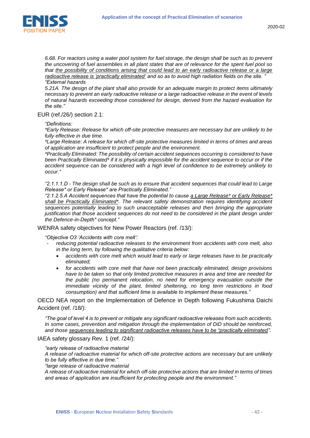



*6.68. For reactors using a water pool system for fuel storage, the design shall be such as to prevent the uncovering of fuel assemblies in all plant states that are of relevance for the spent fuel pool so that the possibility of conditions arising that could lead to an early radioactive release or a large radioactive release is 'practically eliminated' and so as to avoid high radiation fields on the site. " "External hazards*

*5.21A. The design of the plant shall also provide for an adequate margin to protect items ultimately necessary to prevent an early radioactive release or a large radioactive release in the event of levels of natural hazards exceeding those considered for design, derived from the hazard evaluation for the site."*

EUR (ref[./26/\)](#page-20-0) section 2.1:

#### *"Definitions:*

*\*Early Release: Release for which off-site protective measures are necessary but are unlikely to be fully effective in due time.*

*\*Large Release: A release for which off-site protective measures limited in terms of times and areas of application are insufficient to protect people and the environment.*

*\*Practically Eliminated: The possibility of certain accident sequences occurring is considered to have been Practically Eliminated\* if it is physically impossible for the accident sequence to occur or if the accident sequence can be considered with a high level of confidence to be extremely unlikely to occur."*

*"2.1.1.1.D - The design shall be such as to ensure that accident sequences that could lead to Large Release\* or Early Release\* are Practically Eliminated."*

*"2.1.2.5.A Accident sequences that have the potential to cause a Large Release\* or Early Release\* shall be Practically Eliminated\*. The relevant safety demonstration requires identifying accident sequences potentially leading to such unacceptable releases and then bringing the appropriate justification that those accident sequences do not need to be considered in the plant design under the Defence-in-Depth\* concept."*

WENRA safety objectives for New Power Reactors (ref. [/13/\)](#page-19-12):

*"Objective O3 'Accidents with core melt':* 

- *reducing potential radioactive releases to the environment from accidents with core melt, also in the long term, by following the qualitative criteria below:* 
	- *accidents with core melt which would lead to early or large releases have to be practically eliminated;*
	- *for accidents with core melt that have not been practically eliminated, design provisions have to be taken so that only limited protective measures in area and time are needed for the public (no permanent relocation, no need for emergency evacuation outside the immediate vicinity of the plant, limited sheltering, no long term restrictions in food consumption) and that sufficient time is available to implement these measures."*

OECD NEA report on the Implementation of Defence in Depth following Fukushima Daichi Accident (ref. [/18/\)](#page-19-19):

*"The goal of level 4 is to prevent or mitigate any significant radioactive releases from such accidents. In some cases, prevention and mitigation through the implementation of DiD should be reinforced, and those sequences leading to significant radioactive releases have to be "practically eliminated".*

IAEA safety glossary Rev. 1 (ref. [/24/\)](#page-20-5):

*"early release of radioactive material*

*A release of radioactive material for which off-site protective actions are necessary but are unlikely to be fully effective in due time."*

*"large release of radioactive material* 

*A release of radioactive material for which off-site protective actions that are limited in terms of times and areas of application are insufficient for protecting people and the environment."*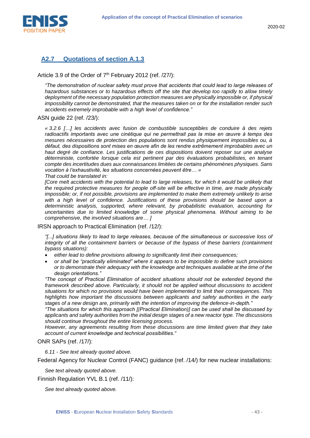

### **A2.7 Quotations of section A.1.3**

Article 3.9 of the Order of  $7<sup>th</sup>$  February 2012 (ref.  $/27/$ ):

*"The demonstration of nuclear safety must prove that accidents that could lead to large releases of hazardous substances or to hazardous effects off the site that develop too rapidly to allow timely deployment of the necessary population protection measures are physically impossible or, if physical impossibility cannot be demonstrated, that the measures taken on or for the installation render such accidents extremely improbable with a high level of confidence."*

#### ASN guide 22 (ref. [/23/\)](#page-20-3):

*« 3.2.6 […] les accidents avec fusion de combustible susceptibles de conduire à des rejets radioactifs importants avec une cinétique qui ne permettrait pas la mise en œuvre à temps des mesures nécessaires de protection des populations sont rendus physiquement impossibles ou, à défaut, des dispositions sont mises en œuvre afin de les rendre extrêmement improbables avec un haut degré de confiance. Les justifications de ces dispositions doivent reposer sur une analyse déterministe, confortée lorsque cela est pertinent par des évaluations probabilistes, en tenant compte des incertitudes dues aux connaissances limitées de certains phénomènes physiques. Sans vocation à l'exhaustivité, les situations concernées peuvent être… »*

*That could be translated in:*

*[Core melt accidents with the potential to lead to large releases, for which it would be unlikely that the required protective measures for people off-site will be effective in time, are made physically impossible; or, if not possible, provisions are implemented to make them extremely unlikely to arise*  with a high level of confidence. Justifications of these provisions should be based upon a *deterministic analysis, supported, where relevant, by probabilistic evaluation, accounting for uncertainties due to limited knowledge of some physical phenomena. Without aiming to be comprehensive, the involved situations are… ]*

IRSN approach to Practical Elimination (ref. [/12/\)](#page-19-11):

*"[...] situations likely to lead to large releases, because of the simultaneous or successive loss of integrity of all the containment barriers or because of the bypass of these barriers (containment bypass situations):* 

- *either lead to define provisions allowing to significantly limit their consequences;*
- *or shall be "practically eliminated" where it appears to be impossible to define such provisions or to demonstrate their adequacy with the knowledge and techniques available at the time of the design orientations."*

*"The concept of Practical Elimination of accident situations should not be extended beyond the framework described above. Particularly, it should not be applied without discussions to accident situations for which no provisions would have been implemented to limit their consequences. This highlights how important the discussions between applicants and safety authorities in the early stages of a new design are, primarily with the intention of improving the defence-in-depth."*

*"The situations for which this approach [(Practical Elimination)] can be used shall be discussed by applicants and safety authorities from the initial design stages of a new reactor type. The discussions should continue throughout the entire licensing process.* 

*However, any agreements resulting from these discussions are time limited given that they take account of current knowledge and technical possibilities."*

#### ONR SAPs (ref. [/17/\)](#page-19-16):

*6.11 - See text already quoted above.*

Federal Agency for Nuclear Control (FANC) guidance (ref. [/14/\)](#page-19-13) for new nuclear installations:

*See text already quoted above.*

Finnish Regulation YVL B.1 (ref. [/11/\)](#page-19-10):

*See text already quoted above.*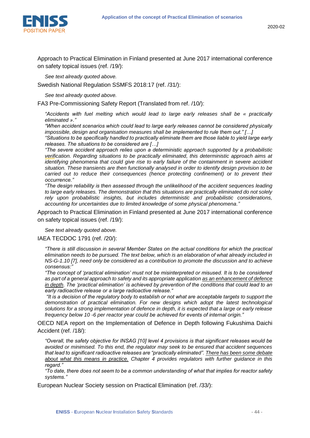

Approach to Practical Elimination in Finland presented at June 2017 international conference on safety topical issues (ref. [/19/\)](#page-19-18):

*See text already quoted above.*

Swedish National Regulation SSMFS 2018:17 (ref. [/31/\)](#page-20-8):

*See text already quoted above.*

FA3 Pre-Commissioning Safety Report (Translated from ref. [/10/\)](#page-19-9):

*"Accidents with fuel melting which would lead to large early releases shall be « practically eliminated »."*

*"When accident scenarios which could lead to large early releases cannot be considered physically impossible, design and organisation measures shall be implemented to rule them out." […]*

*"Situations to be specifically handled to practically eliminate them are those liable to yield large early releases. The situations to be considered are […]*

*"The severe accident approach relies upon a deterministic approach supported by a probabilistic verification. Regarding situations to be practically eliminated, this deterministic approach aims at identifying phenomena that could give rise to early failure of the containment in severe accident situation. These transients are then functionally analysed in order to identify design provision to be carried out to reduce their consequences (hence protecting confinement) or to prevent their occurrence."*

*"The design reliability is then assessed through the unlikelihood of the accident sequences leading to large early releases. The demonstration that this situations are practically eliminated do not solely rely upon probabilistic insights, but includes deterministic and probabilistic considerations, accounting for uncertainties due to limited knowledge of some physical phenomena."*

Approach to Practical Elimination in Finland presented at June 2017 international conference on safety topical issues (ref. [/19/\)](#page-19-18):

*See text already quoted above.*

IAEA TECDOC 1791 (ref. [/20/\)](#page-20-9):

*"There is still discussion in several Member States on the actual conditions for which the practical elimination needs to be pursued. The text below, which is an elaboration of what already included in NS-G-1.10 [7], need only be considered as a contribution to promote the discussion and to achieve consensus:"* 

*"The concept of 'practical elimination' must not be misinterpreted or misused. It is to be considered as part of a general approach to safety and its appropriate application as an enhancement of defence in depth. The 'practical elimination' is achieved by prevention of the conditions that could lead to an early radioactive release or a large radioactive release."*

*"It is a decision of the regulatory body to establish or not what are acceptable targets to support the demonstration of practical elimination. For new designs which adopt the latest technological solutions for a strong implementation of defence in depth, it is expected that a large or early release frequency below 10 -6 per reactor year could be achieved for events of internal origin."*

OECD NEA report on the Implementation of Defence in Depth following Fukushima Daichi Accident (ref. [/18/\)](#page-19-19):

*"Overall, the safety objective for INSAG [10] level 4 provisions is that significant releases would be avoided or minimised. To this end, the regulator may seek to be ensured that accident sequences that lead to significant radioactive releases are "practically eliminated". There has been some debate about what this means in practice. Chapter 4 provides regulators with further guidance in this regard."*

*"To date, there does not seem to be a common understanding of what that implies for reactor safety systems."*

European Nuclear Society session on Practical Elimination (ref. [/33/\)](#page-20-10):

2020-02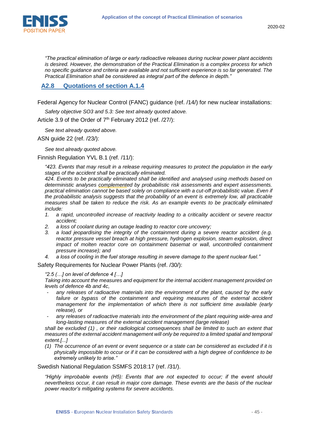

*"The practical elimination of large or early radioactive releases during nuclear power plant accidents is desired. However, the demonstration of the Practical Elimination is a complex process for which no specific guidance and criteria are available and not sufficient experience is so far generated. The Practical Elimination shall be considered as integral part of the defence in depth."*

#### **A2.8 Quotations of section A.1.4**

Federal Agency for Nuclear Control (FANC) guidance (ref. [/14/\)](#page-19-13) for new nuclear installations:

*Safety objective SO3 and 5.3: See text already quoted above.*

Article 3.9 of the Order of 7<sup>th</sup> February 2012 (ref. [/27/\)](#page-20-7):

*See text already quoted above.*

ASN guide 22 (ref. [/23/\)](#page-20-3):

*See text already quoted above.*

Finnish Regulation YVL B.1 (ref. [/11/\)](#page-19-10):

*"423. Events that may result in a release requiring measures to protect the population in the early stages of the accident shall be practically eliminated.*

*424. Events to be practically eliminated shall be identified and analysed using methods based on deterministic analyses complemented by probabilistic risk assessments and expert assessments. practical elimination cannot be based solely on compliance with a cut-off probabilistic value. Even if the probabilistic analysis suggests that the probability of an event is extremely low, all practicable measures shall be taken to reduce the risk. As an example events to be practically eliminated include:*

- *1. a rapid, uncontrolled increase of reactivity leading to a criticality accident or severe reactor accident;*
- *2. a loss of coolant during an outage leading to reactor core uncovery;*
- *3. a load jeopardising the integrity of the containment during a severe reactor accident (e.g. reactor pressure vessel breach at high pressure, hydrogen explosion, steam explosion, direct impact of molten reactor core on containment basemat or wall, uncontrolled containment pressure increase); and*
- *4. a loss of cooling in the fuel storage resulting in severe damage to the spent nuclear fuel."*

Safety Requirements for Nuclear Power Plants (ref. [/30/\)](#page-20-11):

#### *"2.5 (…] on level of defence 4 […]*

*Taking into account the measures and equipment for the internal accident management provided on levels of defence 4b and 4c,*

- *any releases of radioactive materials into the environment of the plant, caused by the early*  failure or bypass of the containment and requiring measures of the external accident *management for the implementation of which there is not sufficient time available (early release), or*
- *any releases of radioactive materials into the environment of the plant requiring wide-area and long-lasting measures of the external accident management (large release)*

*shall be excluded (1) , or their radiological consequences shall be limited to such an extent that measures of the external accident management will only be required to a limited spatial and temporal extent.[...]*

*(1) The occurrence of an event or event sequence or a state can be considered as excluded if it is physically impossible to occur or if it can be considered with a high degree of confidence to be extremely unlikely to arise."*

Swedish National Regulation SSMFS 2018:17 (ref. [/31/\)](#page-20-8).

*"Highly improbable events (H5): Events that are not expected to occur; if the event should nevertheless occur, it can result in major core damage. These events are the basis of the nuclear power reactor's mitigating systems for severe accidents.*